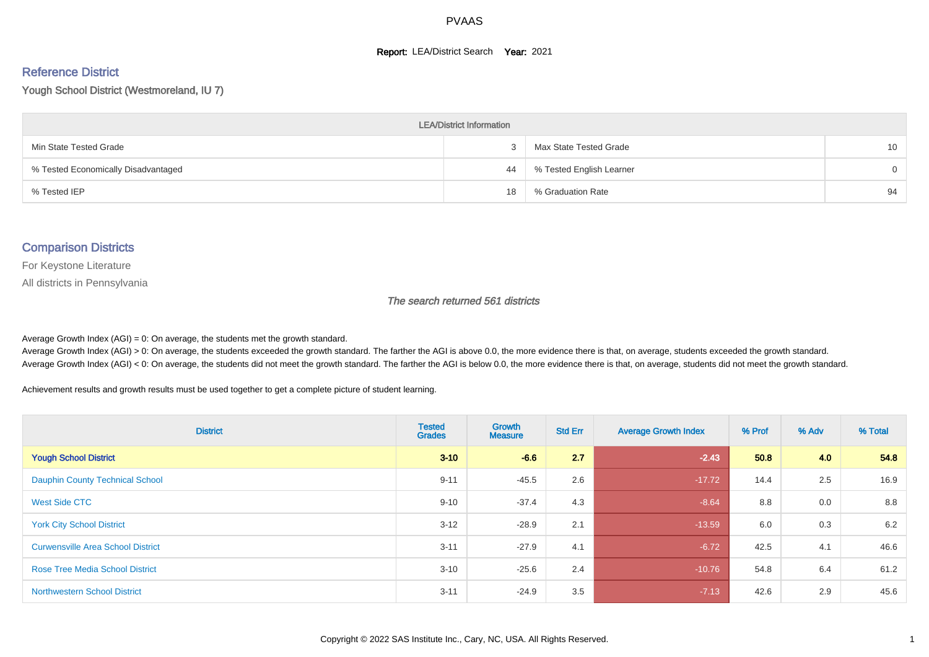#### **Report: LEA/District Search Year: 2021**

# Reference District

Yough School District (Westmoreland, IU 7)

| <b>LEA/District Information</b>     |    |                          |                 |  |  |  |  |  |  |  |
|-------------------------------------|----|--------------------------|-----------------|--|--|--|--|--|--|--|
| Min State Tested Grade              |    | Max State Tested Grade   | 10 <sup>°</sup> |  |  |  |  |  |  |  |
| % Tested Economically Disadvantaged | 44 | % Tested English Learner | $\Omega$        |  |  |  |  |  |  |  |
| % Tested IEP                        | 18 | % Graduation Rate        | 94              |  |  |  |  |  |  |  |

#### Comparison Districts

For Keystone Literature

All districts in Pennsylvania

The search returned 561 districts

Average Growth Index  $(AGI) = 0$ : On average, the students met the growth standard.

Average Growth Index (AGI) > 0: On average, the students exceeded the growth standard. The farther the AGI is above 0.0, the more evidence there is that, on average, students exceeded the growth standard. Average Growth Index (AGI) < 0: On average, the students did not meet the growth standard. The farther the AGI is below 0.0, the more evidence there is that, on average, students did not meet the growth standard.

Achievement results and growth results must be used together to get a complete picture of student learning.

| <b>District</b>                          | <b>Tested</b><br><b>Grades</b> | <b>Growth</b><br><b>Measure</b> | <b>Std Err</b> | <b>Average Growth Index</b> | % Prof | % Adv | % Total |
|------------------------------------------|--------------------------------|---------------------------------|----------------|-----------------------------|--------|-------|---------|
| <b>Yough School District</b>             | $3 - 10$                       | $-6.6$                          | 2.7            | $-2.43$                     | 50.8   | 4.0   | 54.8    |
| <b>Dauphin County Technical School</b>   | $9 - 11$                       | $-45.5$                         | 2.6            | $-17.72$                    | 14.4   | 2.5   | 16.9    |
| <b>West Side CTC</b>                     | $9 - 10$                       | $-37.4$                         | 4.3            | $-8.64$                     | 8.8    | 0.0   | 8.8     |
| <b>York City School District</b>         | $3 - 12$                       | $-28.9$                         | 2.1            | $-13.59$                    | 6.0    | 0.3   | 6.2     |
| <b>Curwensville Area School District</b> | $3 - 11$                       | $-27.9$                         | 4.1            | $-6.72$                     | 42.5   | 4.1   | 46.6    |
| <b>Rose Tree Media School District</b>   | $3 - 10$                       | $-25.6$                         | 2.4            | $-10.76$                    | 54.8   | 6.4   | 61.2    |
| <b>Northwestern School District</b>      | $3 - 11$                       | $-24.9$                         | 3.5            | $-7.13$                     | 42.6   | 2.9   | 45.6    |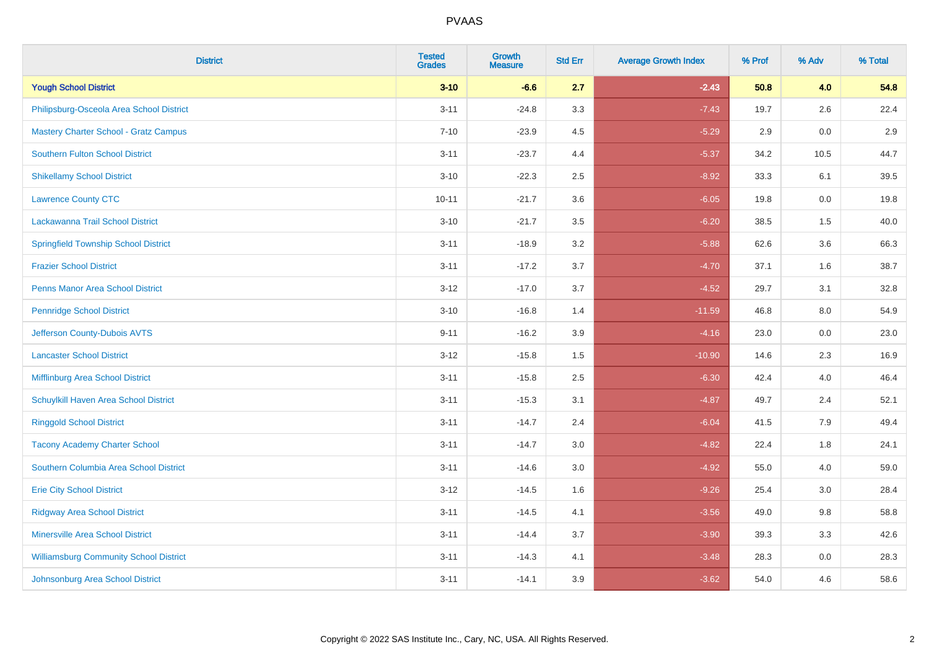| <b>District</b>                               | <b>Tested</b><br><b>Grades</b> | <b>Growth</b><br><b>Measure</b> | <b>Std Err</b> | <b>Average Growth Index</b> | % Prof | % Adv | % Total |
|-----------------------------------------------|--------------------------------|---------------------------------|----------------|-----------------------------|--------|-------|---------|
| <b>Yough School District</b>                  | $3 - 10$                       | $-6.6$                          | 2.7            | $-2.43$                     | 50.8   | 4.0   | 54.8    |
| Philipsburg-Osceola Area School District      | $3 - 11$                       | $-24.8$                         | 3.3            | $-7.43$                     | 19.7   | 2.6   | 22.4    |
| <b>Mastery Charter School - Gratz Campus</b>  | $7 - 10$                       | $-23.9$                         | 4.5            | $-5.29$                     | 2.9    | 0.0   | 2.9     |
| <b>Southern Fulton School District</b>        | $3 - 11$                       | $-23.7$                         | 4.4            | $-5.37$                     | 34.2   | 10.5  | 44.7    |
| <b>Shikellamy School District</b>             | $3 - 10$                       | $-22.3$                         | 2.5            | $-8.92$                     | 33.3   | 6.1   | 39.5    |
| <b>Lawrence County CTC</b>                    | $10 - 11$                      | $-21.7$                         | 3.6            | $-6.05$                     | 19.8   | 0.0   | 19.8    |
| Lackawanna Trail School District              | $3 - 10$                       | $-21.7$                         | 3.5            | $-6.20$                     | 38.5   | 1.5   | 40.0    |
| <b>Springfield Township School District</b>   | $3 - 11$                       | $-18.9$                         | 3.2            | $-5.88$                     | 62.6   | 3.6   | 66.3    |
| <b>Frazier School District</b>                | $3 - 11$                       | $-17.2$                         | 3.7            | $-4.70$                     | 37.1   | 1.6   | 38.7    |
| <b>Penns Manor Area School District</b>       | $3 - 12$                       | $-17.0$                         | 3.7            | $-4.52$                     | 29.7   | 3.1   | 32.8    |
| <b>Pennridge School District</b>              | $3 - 10$                       | $-16.8$                         | 1.4            | $-11.59$                    | 46.8   | 8.0   | 54.9    |
| Jefferson County-Dubois AVTS                  | $9 - 11$                       | $-16.2$                         | 3.9            | $-4.16$                     | 23.0   | 0.0   | 23.0    |
| <b>Lancaster School District</b>              | $3 - 12$                       | $-15.8$                         | $1.5$          | $-10.90$                    | 14.6   | 2.3   | 16.9    |
| Mifflinburg Area School District              | $3 - 11$                       | $-15.8$                         | 2.5            | $-6.30$                     | 42.4   | 4.0   | 46.4    |
| Schuylkill Haven Area School District         | $3 - 11$                       | $-15.3$                         | 3.1            | $-4.87$                     | 49.7   | 2.4   | 52.1    |
| <b>Ringgold School District</b>               | $3 - 11$                       | $-14.7$                         | 2.4            | $-6.04$                     | 41.5   | 7.9   | 49.4    |
| <b>Tacony Academy Charter School</b>          | $3 - 11$                       | $-14.7$                         | 3.0            | $-4.82$                     | 22.4   | 1.8   | 24.1    |
| Southern Columbia Area School District        | $3 - 11$                       | $-14.6$                         | 3.0            | $-4.92$                     | 55.0   | 4.0   | 59.0    |
| <b>Erie City School District</b>              | $3 - 12$                       | $-14.5$                         | 1.6            | $-9.26$                     | 25.4   | 3.0   | 28.4    |
| <b>Ridgway Area School District</b>           | $3 - 11$                       | $-14.5$                         | 4.1            | $-3.56$                     | 49.0   | 9.8   | 58.8    |
| <b>Minersville Area School District</b>       | $3 - 11$                       | $-14.4$                         | 3.7            | $-3.90$                     | 39.3   | 3.3   | 42.6    |
| <b>Williamsburg Community School District</b> | $3 - 11$                       | $-14.3$                         | 4.1            | $-3.48$                     | 28.3   | 0.0   | 28.3    |
| Johnsonburg Area School District              | $3 - 11$                       | $-14.1$                         | 3.9            | $-3.62$                     | 54.0   | 4.6   | 58.6    |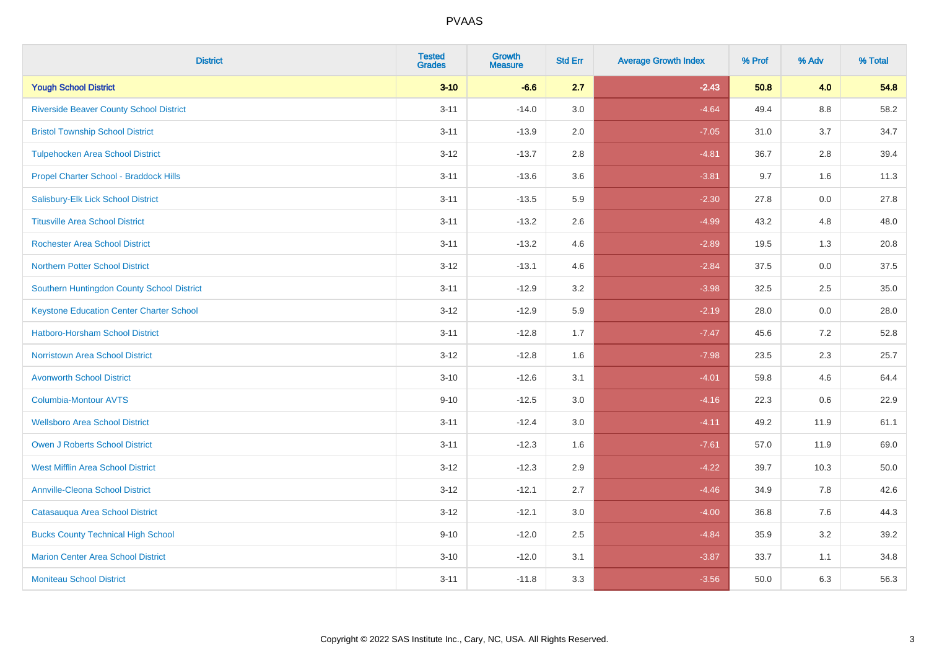| <b>District</b>                                 | <b>Tested</b><br><b>Grades</b> | <b>Growth</b><br><b>Measure</b> | <b>Std Err</b> | <b>Average Growth Index</b> | % Prof | % Adv   | % Total |
|-------------------------------------------------|--------------------------------|---------------------------------|----------------|-----------------------------|--------|---------|---------|
| <b>Yough School District</b>                    | $3 - 10$                       | $-6.6$                          | 2.7            | $-2.43$                     | 50.8   | 4.0     | 54.8    |
| <b>Riverside Beaver County School District</b>  | $3 - 11$                       | $-14.0$                         | 3.0            | $-4.64$                     | 49.4   | $8.8\,$ | 58.2    |
| <b>Bristol Township School District</b>         | $3 - 11$                       | $-13.9$                         | 2.0            | $-7.05$                     | 31.0   | 3.7     | 34.7    |
| <b>Tulpehocken Area School District</b>         | $3 - 12$                       | $-13.7$                         | 2.8            | $-4.81$                     | 36.7   | 2.8     | 39.4    |
| Propel Charter School - Braddock Hills          | $3 - 11$                       | $-13.6$                         | 3.6            | $-3.81$                     | 9.7    | 1.6     | 11.3    |
| Salisbury-Elk Lick School District              | $3 - 11$                       | $-13.5$                         | 5.9            | $-2.30$                     | 27.8   | 0.0     | 27.8    |
| <b>Titusville Area School District</b>          | $3 - 11$                       | $-13.2$                         | 2.6            | $-4.99$                     | 43.2   | 4.8     | 48.0    |
| <b>Rochester Area School District</b>           | $3 - 11$                       | $-13.2$                         | 4.6            | $-2.89$                     | 19.5   | 1.3     | 20.8    |
| <b>Northern Potter School District</b>          | $3 - 12$                       | $-13.1$                         | 4.6            | $-2.84$                     | 37.5   | 0.0     | 37.5    |
| Southern Huntingdon County School District      | $3 - 11$                       | $-12.9$                         | 3.2            | $-3.98$                     | 32.5   | 2.5     | 35.0    |
| <b>Keystone Education Center Charter School</b> | $3 - 12$                       | $-12.9$                         | 5.9            | $-2.19$                     | 28.0   | 0.0     | 28.0    |
| <b>Hatboro-Horsham School District</b>          | $3 - 11$                       | $-12.8$                         | 1.7            | $-7.47$                     | 45.6   | 7.2     | 52.8    |
| <b>Norristown Area School District</b>          | $3 - 12$                       | $-12.8$                         | 1.6            | $-7.98$                     | 23.5   | $2.3\,$ | 25.7    |
| <b>Avonworth School District</b>                | $3 - 10$                       | $-12.6$                         | 3.1            | $-4.01$                     | 59.8   | 4.6     | 64.4    |
| <b>Columbia-Montour AVTS</b>                    | $9 - 10$                       | $-12.5$                         | 3.0            | $-4.16$                     | 22.3   | 0.6     | 22.9    |
| <b>Wellsboro Area School District</b>           | $3 - 11$                       | $-12.4$                         | 3.0            | $-4.11$                     | 49.2   | 11.9    | 61.1    |
| Owen J Roberts School District                  | $3 - 11$                       | $-12.3$                         | 1.6            | $-7.61$                     | 57.0   | 11.9    | 69.0    |
| <b>West Mifflin Area School District</b>        | $3 - 12$                       | $-12.3$                         | 2.9            | $-4.22$                     | 39.7   | 10.3    | 50.0    |
| <b>Annville-Cleona School District</b>          | $3 - 12$                       | $-12.1$                         | 2.7            | $-4.46$                     | 34.9   | 7.8     | 42.6    |
| Catasauqua Area School District                 | $3 - 12$                       | $-12.1$                         | 3.0            | $-4.00$                     | 36.8   | 7.6     | 44.3    |
| <b>Bucks County Technical High School</b>       | $9 - 10$                       | $-12.0$                         | 2.5            | $-4.84$                     | 35.9   | 3.2     | 39.2    |
| <b>Marion Center Area School District</b>       | $3 - 10$                       | $-12.0$                         | 3.1            | $-3.87$                     | 33.7   | 1.1     | 34.8    |
| <b>Moniteau School District</b>                 | $3 - 11$                       | $-11.8$                         | 3.3            | $-3.56$                     | 50.0   | 6.3     | 56.3    |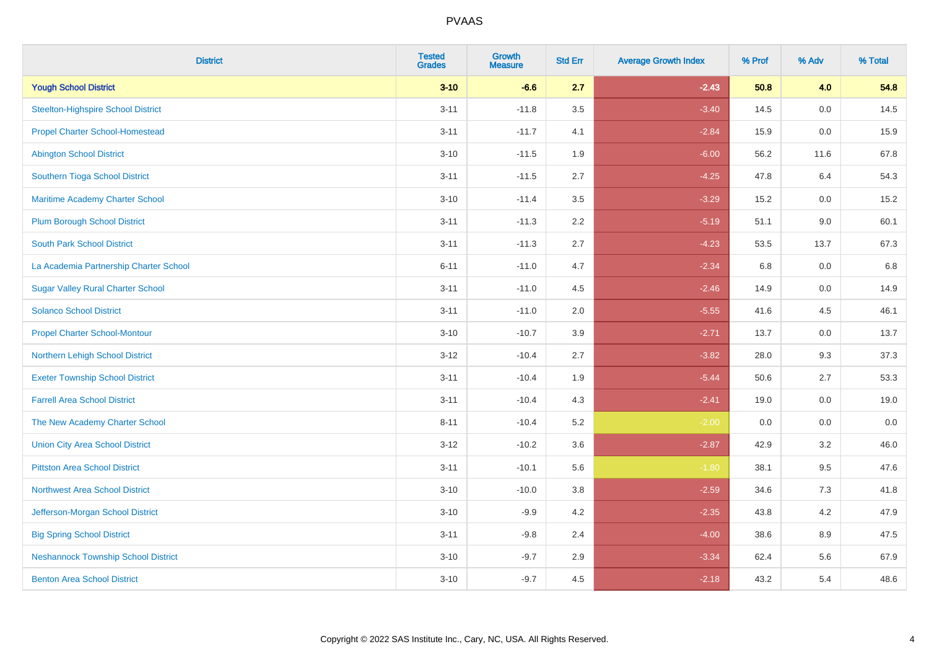| <b>District</b>                            | <b>Tested</b><br><b>Grades</b> | <b>Growth</b><br><b>Measure</b> | <b>Std Err</b> | <b>Average Growth Index</b> | % Prof | % Adv | % Total |
|--------------------------------------------|--------------------------------|---------------------------------|----------------|-----------------------------|--------|-------|---------|
| <b>Yough School District</b>               | $3 - 10$                       | $-6.6$                          | 2.7            | $-2.43$                     | 50.8   | 4.0   | 54.8    |
| Steelton-Highspire School District         | $3 - 11$                       | $-11.8$                         | 3.5            | $-3.40$                     | 14.5   | 0.0   | 14.5    |
| <b>Propel Charter School-Homestead</b>     | $3 - 11$                       | $-11.7$                         | 4.1            | $-2.84$                     | 15.9   | 0.0   | 15.9    |
| <b>Abington School District</b>            | $3 - 10$                       | $-11.5$                         | 1.9            | $-6.00$                     | 56.2   | 11.6  | 67.8    |
| Southern Tioga School District             | $3 - 11$                       | $-11.5$                         | 2.7            | $-4.25$                     | 47.8   | 6.4   | 54.3    |
| Maritime Academy Charter School            | $3 - 10$                       | $-11.4$                         | 3.5            | $-3.29$                     | 15.2   | 0.0   | 15.2    |
| <b>Plum Borough School District</b>        | $3 - 11$                       | $-11.3$                         | 2.2            | $-5.19$                     | 51.1   | 9.0   | 60.1    |
| <b>South Park School District</b>          | $3 - 11$                       | $-11.3$                         | 2.7            | $-4.23$                     | 53.5   | 13.7  | 67.3    |
| La Academia Partnership Charter School     | $6 - 11$                       | $-11.0$                         | 4.7            | $-2.34$                     | 6.8    | 0.0   | 6.8     |
| <b>Sugar Valley Rural Charter School</b>   | $3 - 11$                       | $-11.0$                         | 4.5            | $-2.46$                     | 14.9   | 0.0   | 14.9    |
| <b>Solanco School District</b>             | $3 - 11$                       | $-11.0$                         | 2.0            | $-5.55$                     | 41.6   | 4.5   | 46.1    |
| <b>Propel Charter School-Montour</b>       | $3 - 10$                       | $-10.7$                         | 3.9            | $-2.71$                     | 13.7   | 0.0   | 13.7    |
| Northern Lehigh School District            | $3 - 12$                       | $-10.4$                         | 2.7            | $-3.82$                     | 28.0   | 9.3   | 37.3    |
| <b>Exeter Township School District</b>     | $3 - 11$                       | $-10.4$                         | 1.9            | $-5.44$                     | 50.6   | 2.7   | 53.3    |
| <b>Farrell Area School District</b>        | $3 - 11$                       | $-10.4$                         | 4.3            | $-2.41$                     | 19.0   | 0.0   | 19.0    |
| The New Academy Charter School             | $8 - 11$                       | $-10.4$                         | 5.2            | $-2.00$                     | 0.0    | 0.0   | 0.0     |
| <b>Union City Area School District</b>     | $3-12$                         | $-10.2$                         | 3.6            | $-2.87$                     | 42.9   | 3.2   | 46.0    |
| <b>Pittston Area School District</b>       | $3 - 11$                       | $-10.1$                         | 5.6            | $-1.80$                     | 38.1   | 9.5   | 47.6    |
| <b>Northwest Area School District</b>      | $3 - 10$                       | $-10.0$                         | 3.8            | $-2.59$                     | 34.6   | 7.3   | 41.8    |
| Jefferson-Morgan School District           | $3 - 10$                       | $-9.9$                          | 4.2            | $-2.35$                     | 43.8   | 4.2   | 47.9    |
| <b>Big Spring School District</b>          | $3 - 11$                       | $-9.8$                          | 2.4            | $-4.00$                     | 38.6   | 8.9   | 47.5    |
| <b>Neshannock Township School District</b> | $3 - 10$                       | $-9.7$                          | 2.9            | $-3.34$                     | 62.4   | 5.6   | 67.9    |
| <b>Benton Area School District</b>         | $3 - 10$                       | $-9.7$                          | 4.5            | $-2.18$                     | 43.2   | 5.4   | 48.6    |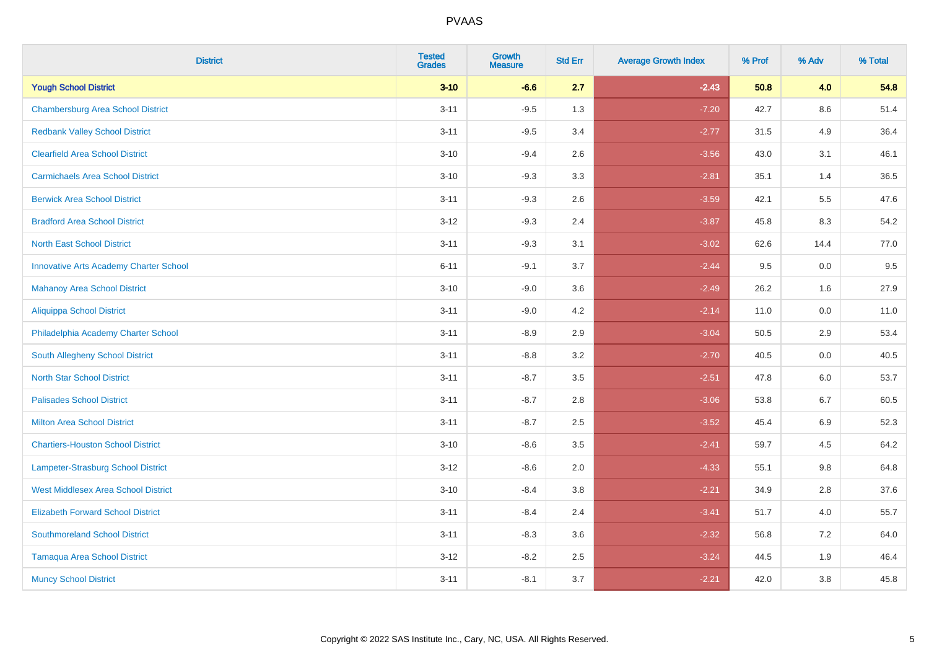| <b>District</b>                               | <b>Tested</b><br><b>Grades</b> | <b>Growth</b><br><b>Measure</b> | <b>Std Err</b> | <b>Average Growth Index</b> | % Prof | % Adv   | % Total |
|-----------------------------------------------|--------------------------------|---------------------------------|----------------|-----------------------------|--------|---------|---------|
| <b>Yough School District</b>                  | $3 - 10$                       | $-6.6$                          | 2.7            | $-2.43$                     | 50.8   | 4.0     | 54.8    |
| <b>Chambersburg Area School District</b>      | $3 - 11$                       | $-9.5$                          | 1.3            | $-7.20$                     | 42.7   | 8.6     | 51.4    |
| <b>Redbank Valley School District</b>         | $3 - 11$                       | $-9.5$                          | 3.4            | $-2.77$                     | 31.5   | 4.9     | 36.4    |
| <b>Clearfield Area School District</b>        | $3 - 10$                       | $-9.4$                          | 2.6            | $-3.56$                     | 43.0   | 3.1     | 46.1    |
| <b>Carmichaels Area School District</b>       | $3 - 10$                       | $-9.3$                          | 3.3            | $-2.81$                     | 35.1   | 1.4     | 36.5    |
| <b>Berwick Area School District</b>           | $3 - 11$                       | $-9.3$                          | 2.6            | $-3.59$                     | 42.1   | 5.5     | 47.6    |
| <b>Bradford Area School District</b>          | $3 - 12$                       | $-9.3$                          | 2.4            | $-3.87$                     | 45.8   | 8.3     | 54.2    |
| <b>North East School District</b>             | $3 - 11$                       | $-9.3$                          | 3.1            | $-3.02$                     | 62.6   | 14.4    | 77.0    |
| <b>Innovative Arts Academy Charter School</b> | $6 - 11$                       | $-9.1$                          | 3.7            | $-2.44$                     | 9.5    | 0.0     | 9.5     |
| <b>Mahanoy Area School District</b>           | $3 - 10$                       | $-9.0$                          | 3.6            | $-2.49$                     | 26.2   | 1.6     | 27.9    |
| <b>Aliquippa School District</b>              | $3 - 11$                       | $-9.0$                          | 4.2            | $-2.14$                     | 11.0   | 0.0     | 11.0    |
| Philadelphia Academy Charter School           | $3 - 11$                       | $-8.9$                          | 2.9            | $-3.04$                     | 50.5   | 2.9     | 53.4    |
| South Allegheny School District               | $3 - 11$                       | $-8.8$                          | 3.2            | $-2.70$                     | 40.5   | $0.0\,$ | 40.5    |
| <b>North Star School District</b>             | $3 - 11$                       | $-8.7$                          | 3.5            | $-2.51$                     | 47.8   | 6.0     | 53.7    |
| <b>Palisades School District</b>              | $3 - 11$                       | $-8.7$                          | 2.8            | $-3.06$                     | 53.8   | 6.7     | 60.5    |
| <b>Milton Area School District</b>            | $3 - 11$                       | $-8.7$                          | 2.5            | $-3.52$                     | 45.4   | $6.9\,$ | 52.3    |
| <b>Chartiers-Houston School District</b>      | $3 - 10$                       | $-8.6$                          | 3.5            | $-2.41$                     | 59.7   | 4.5     | 64.2    |
| <b>Lampeter-Strasburg School District</b>     | $3 - 12$                       | $-8.6$                          | 2.0            | $-4.33$                     | 55.1   | 9.8     | 64.8    |
| <b>West Middlesex Area School District</b>    | $3 - 10$                       | $-8.4$                          | 3.8            | $-2.21$                     | 34.9   | 2.8     | 37.6    |
| <b>Elizabeth Forward School District</b>      | $3 - 11$                       | $-8.4$                          | 2.4            | $-3.41$                     | 51.7   | 4.0     | 55.7    |
| <b>Southmoreland School District</b>          | $3 - 11$                       | $-8.3$                          | 3.6            | $-2.32$                     | 56.8   | 7.2     | 64.0    |
| <b>Tamaqua Area School District</b>           | $3 - 12$                       | $-8.2$                          | 2.5            | $-3.24$                     | 44.5   | 1.9     | 46.4    |
| <b>Muncy School District</b>                  | $3 - 11$                       | $-8.1$                          | 3.7            | $-2.21$                     | 42.0   | 3.8     | 45.8    |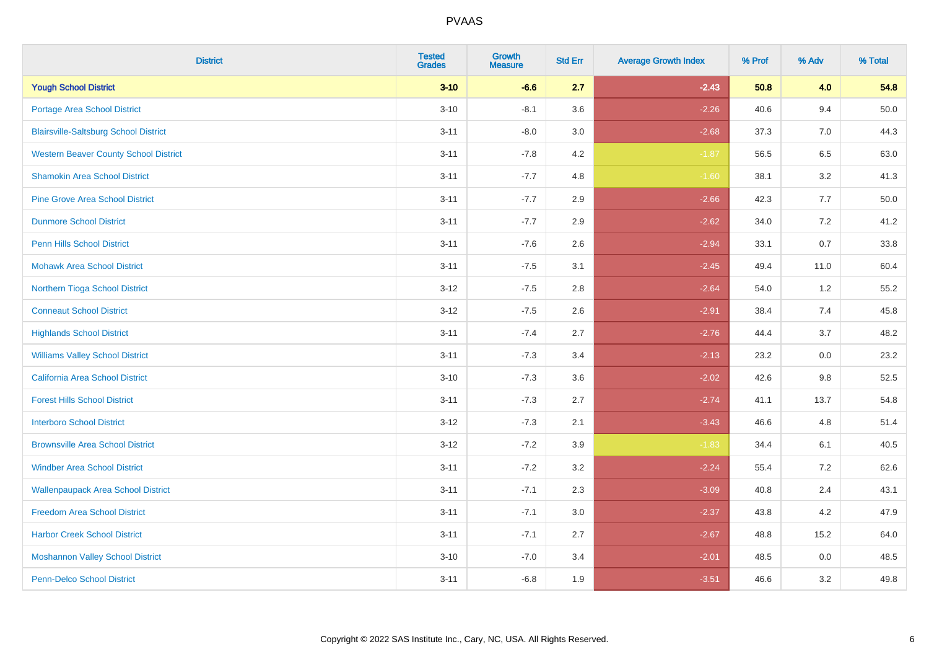| <b>District</b>                              | <b>Tested</b><br><b>Grades</b> | Growth<br><b>Measure</b> | <b>Std Err</b> | <b>Average Growth Index</b> | % Prof | % Adv   | % Total |
|----------------------------------------------|--------------------------------|--------------------------|----------------|-----------------------------|--------|---------|---------|
| <b>Yough School District</b>                 | $3 - 10$                       | $-6.6$                   | 2.7            | $-2.43$                     | 50.8   | 4.0     | 54.8    |
| <b>Portage Area School District</b>          | $3 - 10$                       | $-8.1$                   | 3.6            | $-2.26$                     | 40.6   | 9.4     | 50.0    |
| <b>Blairsville-Saltsburg School District</b> | $3 - 11$                       | $-8.0$                   | 3.0            | $-2.68$                     | 37.3   | 7.0     | 44.3    |
| <b>Western Beaver County School District</b> | $3 - 11$                       | $-7.8$                   | 4.2            | $-1.87$                     | 56.5   | $6.5\,$ | 63.0    |
| <b>Shamokin Area School District</b>         | $3 - 11$                       | $-7.7$                   | 4.8            | $-1.60$                     | 38.1   | 3.2     | 41.3    |
| <b>Pine Grove Area School District</b>       | $3 - 11$                       | $-7.7$                   | 2.9            | $-2.66$                     | 42.3   | 7.7     | 50.0    |
| <b>Dunmore School District</b>               | $3 - 11$                       | $-7.7$                   | 2.9            | $-2.62$                     | 34.0   | 7.2     | 41.2    |
| <b>Penn Hills School District</b>            | $3 - 11$                       | $-7.6$                   | 2.6            | $-2.94$                     | 33.1   | 0.7     | 33.8    |
| <b>Mohawk Area School District</b>           | $3 - 11$                       | $-7.5$                   | 3.1            | $-2.45$                     | 49.4   | 11.0    | 60.4    |
| Northern Tioga School District               | $3 - 12$                       | $-7.5$                   | 2.8            | $-2.64$                     | 54.0   | 1.2     | 55.2    |
| <b>Conneaut School District</b>              | $3 - 12$                       | $-7.5$                   | 2.6            | $-2.91$                     | 38.4   | 7.4     | 45.8    |
| <b>Highlands School District</b>             | $3 - 11$                       | $-7.4$                   | 2.7            | $-2.76$                     | 44.4   | 3.7     | 48.2    |
| <b>Williams Valley School District</b>       | $3 - 11$                       | $-7.3$                   | 3.4            | $-2.13$                     | 23.2   | 0.0     | 23.2    |
| <b>California Area School District</b>       | $3 - 10$                       | $-7.3$                   | 3.6            | $-2.02$                     | 42.6   | 9.8     | 52.5    |
| <b>Forest Hills School District</b>          | $3 - 11$                       | $-7.3$                   | 2.7            | $-2.74$                     | 41.1   | 13.7    | 54.8    |
| <b>Interboro School District</b>             | $3 - 12$                       | $-7.3$                   | 2.1            | $-3.43$                     | 46.6   | 4.8     | 51.4    |
| <b>Brownsville Area School District</b>      | $3 - 12$                       | $-7.2$                   | 3.9            | $-1.83$                     | 34.4   | 6.1     | 40.5    |
| <b>Windber Area School District</b>          | $3 - 11$                       | $-7.2$                   | 3.2            | $-2.24$                     | 55.4   | 7.2     | 62.6    |
| <b>Wallenpaupack Area School District</b>    | $3 - 11$                       | $-7.1$                   | 2.3            | $-3.09$                     | 40.8   | 2.4     | 43.1    |
| <b>Freedom Area School District</b>          | $3 - 11$                       | $-7.1$                   | 3.0            | $-2.37$                     | 43.8   | 4.2     | 47.9    |
| <b>Harbor Creek School District</b>          | $3 - 11$                       | $-7.1$                   | 2.7            | $-2.67$                     | 48.8   | 15.2    | 64.0    |
| <b>Moshannon Valley School District</b>      | $3 - 10$                       | $-7.0$                   | 3.4            | $-2.01$                     | 48.5   | 0.0     | 48.5    |
| <b>Penn-Delco School District</b>            | $3 - 11$                       | $-6.8$                   | 1.9            | $-3.51$                     | 46.6   | 3.2     | 49.8    |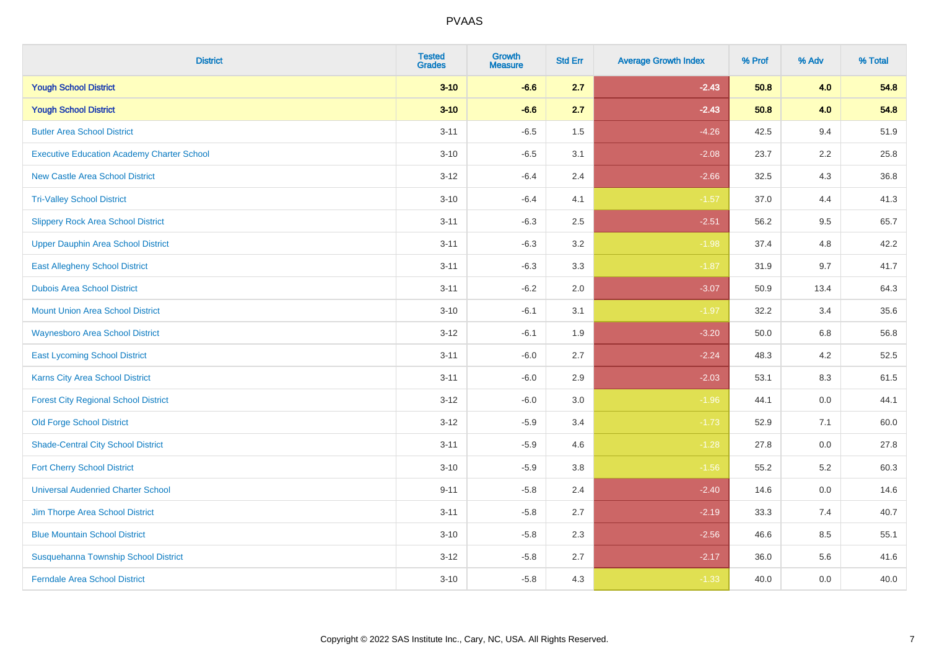| <b>District</b>                                   | <b>Tested</b><br><b>Grades</b> | <b>Growth</b><br><b>Measure</b> | <b>Std Err</b> | <b>Average Growth Index</b> | % Prof | % Adv | % Total |
|---------------------------------------------------|--------------------------------|---------------------------------|----------------|-----------------------------|--------|-------|---------|
| <b>Yough School District</b>                      | $3 - 10$                       | $-6.6$                          | 2.7            | $-2.43$                     | 50.8   | 4.0   | 54.8    |
| <b>Yough School District</b>                      | $3 - 10$                       | $-6.6$                          | 2.7            | $-2.43$                     | 50.8   | 4.0   | 54.8    |
| <b>Butler Area School District</b>                | $3 - 11$                       | $-6.5$                          | 1.5            | $-4.26$                     | 42.5   | 9.4   | 51.9    |
| <b>Executive Education Academy Charter School</b> | $3 - 10$                       | $-6.5$                          | 3.1            | $-2.08$                     | 23.7   | 2.2   | 25.8    |
| <b>New Castle Area School District</b>            | $3 - 12$                       | $-6.4$                          | 2.4            | $-2.66$                     | 32.5   | 4.3   | 36.8    |
| <b>Tri-Valley School District</b>                 | $3 - 10$                       | $-6.4$                          | 4.1            | $-1.57$                     | 37.0   | 4.4   | 41.3    |
| <b>Slippery Rock Area School District</b>         | $3 - 11$                       | $-6.3$                          | 2.5            | $-2.51$                     | 56.2   | 9.5   | 65.7    |
| <b>Upper Dauphin Area School District</b>         | $3 - 11$                       | $-6.3$                          | 3.2            | $-1.98$                     | 37.4   | 4.8   | 42.2    |
| <b>East Allegheny School District</b>             | $3 - 11$                       | $-6.3$                          | 3.3            | $-1.87$                     | 31.9   | 9.7   | 41.7    |
| <b>Dubois Area School District</b>                | $3 - 11$                       | $-6.2$                          | 2.0            | $-3.07$                     | 50.9   | 13.4  | 64.3    |
| <b>Mount Union Area School District</b>           | $3 - 10$                       | $-6.1$                          | 3.1            | $-1.97$                     | 32.2   | 3.4   | 35.6    |
| <b>Waynesboro Area School District</b>            | $3 - 12$                       | $-6.1$                          | 1.9            | $-3.20$                     | 50.0   | 6.8   | 56.8    |
| <b>East Lycoming School District</b>              | $3 - 11$                       | $-6.0$                          | 2.7            | $-2.24$                     | 48.3   | 4.2   | 52.5    |
| Karns City Area School District                   | $3 - 11$                       | $-6.0$                          | 2.9            | $-2.03$                     | 53.1   | 8.3   | 61.5    |
| <b>Forest City Regional School District</b>       | $3 - 12$                       | $-6.0$                          | 3.0            | $-1.96$                     | 44.1   | 0.0   | 44.1    |
| <b>Old Forge School District</b>                  | $3 - 12$                       | $-5.9$                          | 3.4            | $-1.73$                     | 52.9   | 7.1   | 60.0    |
| <b>Shade-Central City School District</b>         | $3 - 11$                       | $-5.9$                          | 4.6            | $-1.28$                     | 27.8   | 0.0   | 27.8    |
| <b>Fort Cherry School District</b>                | $3 - 10$                       | $-5.9$                          | 3.8            | $-1.56$                     | 55.2   | 5.2   | 60.3    |
| <b>Universal Audenried Charter School</b>         | $9 - 11$                       | $-5.8$                          | 2.4            | $-2.40$                     | 14.6   | 0.0   | 14.6    |
| Jim Thorpe Area School District                   | $3 - 11$                       | $-5.8$                          | 2.7            | $-2.19$                     | 33.3   | 7.4   | 40.7    |
| <b>Blue Mountain School District</b>              | $3 - 10$                       | $-5.8$                          | 2.3            | $-2.56$                     | 46.6   | 8.5   | 55.1    |
| Susquehanna Township School District              | $3 - 12$                       | $-5.8$                          | 2.7            | $-2.17$                     | 36.0   | 5.6   | 41.6    |
| <b>Ferndale Area School District</b>              | $3 - 10$                       | $-5.8$                          | 4.3            | $-1.33$                     | 40.0   | 0.0   | 40.0    |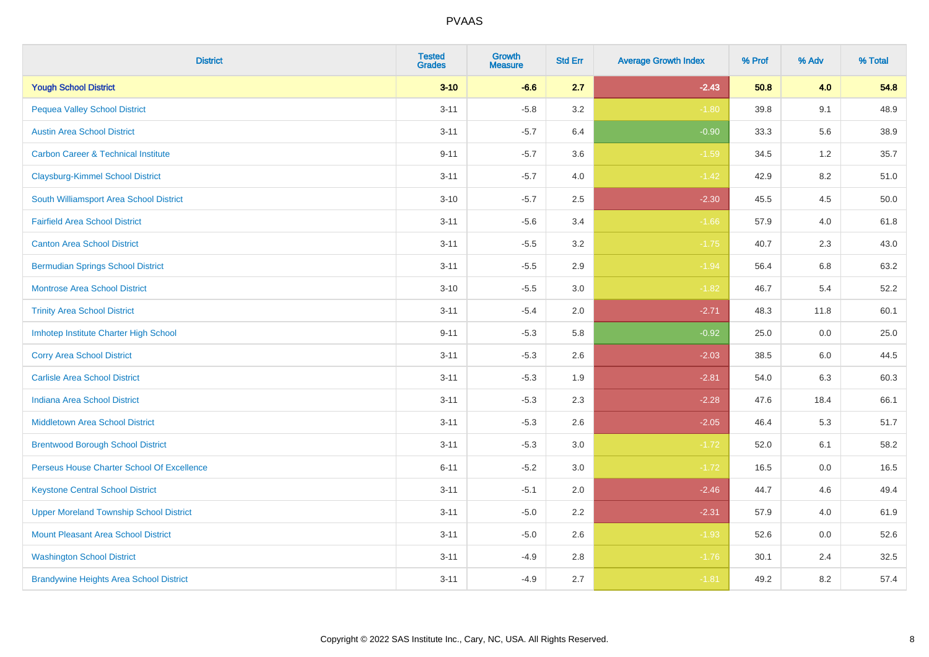| <b>District</b>                                | <b>Tested</b><br><b>Grades</b> | Growth<br><b>Measure</b> | <b>Std Err</b> | <b>Average Growth Index</b> | % Prof | % Adv   | % Total |
|------------------------------------------------|--------------------------------|--------------------------|----------------|-----------------------------|--------|---------|---------|
| <b>Yough School District</b>                   | $3 - 10$                       | $-6.6$                   | 2.7            | $-2.43$                     | 50.8   | 4.0     | 54.8    |
| <b>Pequea Valley School District</b>           | $3 - 11$                       | $-5.8$                   | 3.2            | $-1.80$                     | 39.8   | 9.1     | 48.9    |
| <b>Austin Area School District</b>             | $3 - 11$                       | $-5.7$                   | 6.4            | $-0.90$                     | 33.3   | 5.6     | 38.9    |
| <b>Carbon Career &amp; Technical Institute</b> | $9 - 11$                       | $-5.7$                   | 3.6            | $-1.59$                     | 34.5   | $1.2\,$ | 35.7    |
| <b>Claysburg-Kimmel School District</b>        | $3 - 11$                       | $-5.7$                   | 4.0            | $-1.42$                     | 42.9   | 8.2     | 51.0    |
| South Williamsport Area School District        | $3 - 10$                       | $-5.7$                   | 2.5            | $-2.30$                     | 45.5   | 4.5     | 50.0    |
| <b>Fairfield Area School District</b>          | $3 - 11$                       | $-5.6$                   | 3.4            | $-1.66$                     | 57.9   | 4.0     | 61.8    |
| <b>Canton Area School District</b>             | $3 - 11$                       | $-5.5$                   | 3.2            | $-1.75$                     | 40.7   | 2.3     | 43.0    |
| <b>Bermudian Springs School District</b>       | $3 - 11$                       | $-5.5$                   | 2.9            | $-1.94$                     | 56.4   | 6.8     | 63.2    |
| <b>Montrose Area School District</b>           | $3 - 10$                       | $-5.5$                   | 3.0            | $-1.82$                     | 46.7   | 5.4     | 52.2    |
| <b>Trinity Area School District</b>            | $3 - 11$                       | $-5.4$                   | 2.0            | $-2.71$                     | 48.3   | 11.8    | 60.1    |
| Imhotep Institute Charter High School          | $9 - 11$                       | $-5.3$                   | 5.8            | $-0.92$                     | 25.0   | 0.0     | 25.0    |
| <b>Corry Area School District</b>              | $3 - 11$                       | $-5.3$                   | 2.6            | $-2.03$                     | 38.5   | 6.0     | 44.5    |
| <b>Carlisle Area School District</b>           | $3 - 11$                       | $-5.3$                   | 1.9            | $-2.81$                     | 54.0   | 6.3     | 60.3    |
| <b>Indiana Area School District</b>            | $3 - 11$                       | $-5.3$                   | 2.3            | $-2.28$                     | 47.6   | 18.4    | 66.1    |
| <b>Middletown Area School District</b>         | $3 - 11$                       | $-5.3$                   | 2.6            | $-2.05$                     | 46.4   | 5.3     | 51.7    |
| <b>Brentwood Borough School District</b>       | $3 - 11$                       | $-5.3$                   | 3.0            | $-1.72$                     | 52.0   | 6.1     | 58.2    |
| Perseus House Charter School Of Excellence     | $6 - 11$                       | $-5.2$                   | 3.0            | $-1.72$                     | 16.5   | 0.0     | 16.5    |
| <b>Keystone Central School District</b>        | $3 - 11$                       | $-5.1$                   | 2.0            | $-2.46$                     | 44.7   | 4.6     | 49.4    |
| <b>Upper Moreland Township School District</b> | $3 - 11$                       | $-5.0$                   | 2.2            | $-2.31$                     | 57.9   | 4.0     | 61.9    |
| <b>Mount Pleasant Area School District</b>     | $3 - 11$                       | $-5.0$                   | 2.6            | $-1.93$                     | 52.6   | 0.0     | 52.6    |
| <b>Washington School District</b>              | $3 - 11$                       | $-4.9$                   | 2.8            | $-1.76$                     | 30.1   | 2.4     | 32.5    |
| <b>Brandywine Heights Area School District</b> | $3 - 11$                       | $-4.9$                   | 2.7            | $-1.81$                     | 49.2   | 8.2     | 57.4    |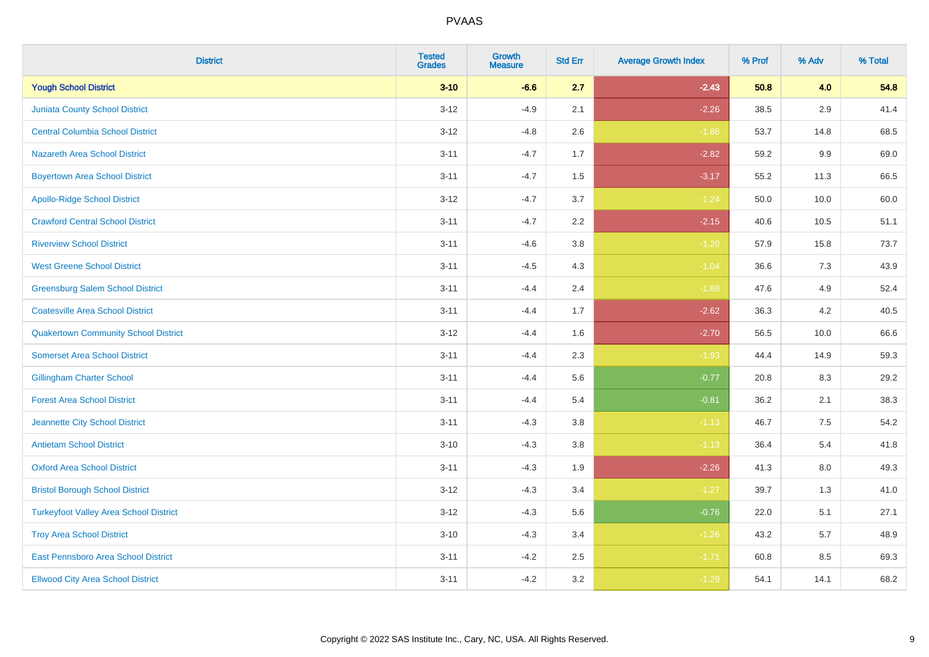| <b>District</b>                               | <b>Tested</b><br><b>Grades</b> | <b>Growth</b><br><b>Measure</b> | <b>Std Err</b> | <b>Average Growth Index</b> | % Prof | % Adv   | % Total |
|-----------------------------------------------|--------------------------------|---------------------------------|----------------|-----------------------------|--------|---------|---------|
| <b>Yough School District</b>                  | $3 - 10$                       | $-6.6$                          | 2.7            | $-2.43$                     | 50.8   | 4.0     | 54.8    |
| <b>Juniata County School District</b>         | $3 - 12$                       | $-4.9$                          | 2.1            | $-2.26$                     | 38.5   | 2.9     | 41.4    |
| <b>Central Columbia School District</b>       | $3 - 12$                       | $-4.8$                          | 2.6            | $-1.86$                     | 53.7   | 14.8    | 68.5    |
| <b>Nazareth Area School District</b>          | $3 - 11$                       | $-4.7$                          | 1.7            | $-2.82$                     | 59.2   | $9.9\,$ | 69.0    |
| <b>Boyertown Area School District</b>         | $3 - 11$                       | $-4.7$                          | 1.5            | $-3.17$                     | 55.2   | 11.3    | 66.5    |
| <b>Apollo-Ridge School District</b>           | $3 - 12$                       | $-4.7$                          | 3.7            | $-1.24$                     | 50.0   | 10.0    | 60.0    |
| <b>Crawford Central School District</b>       | $3 - 11$                       | $-4.7$                          | 2.2            | $-2.15$                     | 40.6   | 10.5    | 51.1    |
| <b>Riverview School District</b>              | $3 - 11$                       | $-4.6$                          | 3.8            | $-1.20$                     | 57.9   | 15.8    | 73.7    |
| <b>West Greene School District</b>            | $3 - 11$                       | $-4.5$                          | 4.3            | $-1.04$                     | 36.6   | 7.3     | 43.9    |
| <b>Greensburg Salem School District</b>       | $3 - 11$                       | $-4.4$                          | 2.4            | $-1.88$                     | 47.6   | 4.9     | 52.4    |
| <b>Coatesville Area School District</b>       | $3 - 11$                       | $-4.4$                          | 1.7            | $-2.62$                     | 36.3   | 4.2     | 40.5    |
| <b>Quakertown Community School District</b>   | $3 - 12$                       | $-4.4$                          | 1.6            | $-2.70$                     | 56.5   | 10.0    | 66.6    |
| <b>Somerset Area School District</b>          | $3 - 11$                       | $-4.4$                          | 2.3            | $-1.93$                     | 44.4   | 14.9    | 59.3    |
| <b>Gillingham Charter School</b>              | $3 - 11$                       | $-4.4$                          | 5.6            | $-0.77$                     | 20.8   | 8.3     | 29.2    |
| <b>Forest Area School District</b>            | $3 - 11$                       | $-4.4$                          | 5.4            | $-0.81$                     | 36.2   | 2.1     | 38.3    |
| Jeannette City School District                | $3 - 11$                       | $-4.3$                          | 3.8            | $-1.13$                     | 46.7   | $7.5\,$ | 54.2    |
| <b>Antietam School District</b>               | $3 - 10$                       | $-4.3$                          | 3.8            | $-1.13$                     | 36.4   | $5.4$   | 41.8    |
| <b>Oxford Area School District</b>            | $3 - 11$                       | $-4.3$                          | 1.9            | $-2.26$                     | 41.3   | 8.0     | 49.3    |
| <b>Bristol Borough School District</b>        | $3 - 12$                       | $-4.3$                          | 3.4            | $-1.27$                     | 39.7   | 1.3     | 41.0    |
| <b>Turkeyfoot Valley Area School District</b> | $3 - 12$                       | $-4.3$                          | 5.6            | $-0.76$                     | 22.0   | 5.1     | 27.1    |
| <b>Troy Area School District</b>              | $3 - 10$                       | $-4.3$                          | 3.4            | $-1.26$                     | 43.2   | 5.7     | 48.9    |
| East Pennsboro Area School District           | $3 - 11$                       | $-4.2$                          | 2.5            | $-1.71$                     | 60.8   | 8.5     | 69.3    |
| <b>Ellwood City Area School District</b>      | $3 - 11$                       | $-4.2$                          | 3.2            | $-1.29$                     | 54.1   | 14.1    | 68.2    |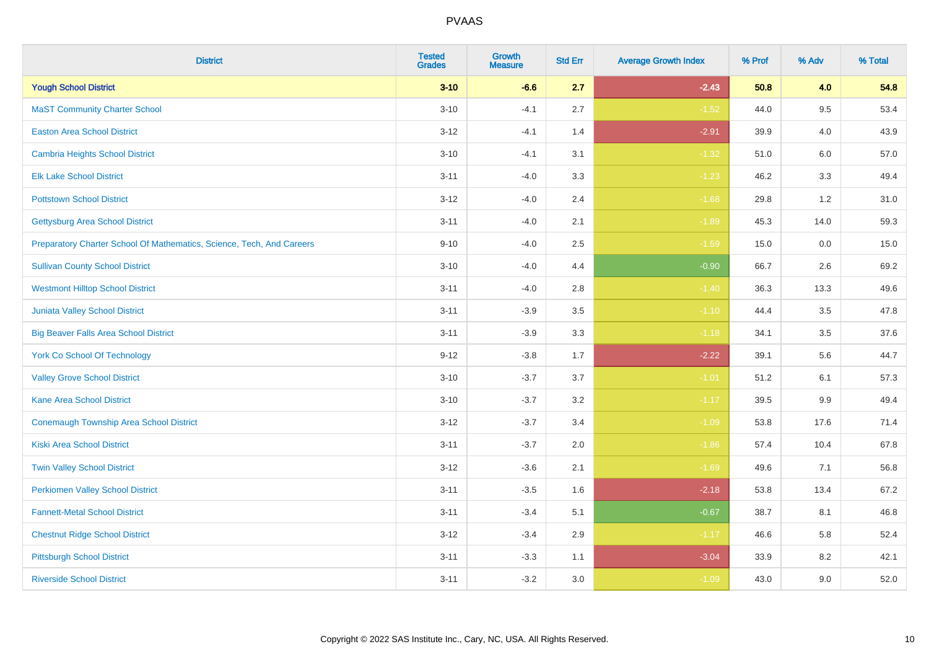| <b>District</b>                                                       | <b>Tested</b><br><b>Grades</b> | <b>Growth</b><br><b>Measure</b> | <b>Std Err</b> | <b>Average Growth Index</b> | % Prof | % Adv | % Total |
|-----------------------------------------------------------------------|--------------------------------|---------------------------------|----------------|-----------------------------|--------|-------|---------|
| <b>Yough School District</b>                                          | $3 - 10$                       | $-6.6$                          | 2.7            | $-2.43$                     | 50.8   | 4.0   | 54.8    |
| <b>MaST Community Charter School</b>                                  | $3 - 10$                       | $-4.1$                          | 2.7            | $-1.52$                     | 44.0   | 9.5   | 53.4    |
| <b>Easton Area School District</b>                                    | $3 - 12$                       | $-4.1$                          | 1.4            | $-2.91$                     | 39.9   | 4.0   | 43.9    |
| <b>Cambria Heights School District</b>                                | $3 - 10$                       | $-4.1$                          | 3.1            | $-1.32$                     | 51.0   | 6.0   | 57.0    |
| <b>Elk Lake School District</b>                                       | $3 - 11$                       | $-4.0$                          | 3.3            | $-1.23$                     | 46.2   | 3.3   | 49.4    |
| <b>Pottstown School District</b>                                      | $3 - 12$                       | $-4.0$                          | 2.4            | $-1.68$                     | 29.8   | 1.2   | 31.0    |
| <b>Gettysburg Area School District</b>                                | $3 - 11$                       | $-4.0$                          | 2.1            | $-1.89$                     | 45.3   | 14.0  | 59.3    |
| Preparatory Charter School Of Mathematics, Science, Tech, And Careers | $9 - 10$                       | $-4.0$                          | 2.5            | $-1.59$                     | 15.0   | 0.0   | 15.0    |
| <b>Sullivan County School District</b>                                | $3 - 10$                       | $-4.0$                          | 4.4            | $-0.90$                     | 66.7   | 2.6   | 69.2    |
| <b>Westmont Hilltop School District</b>                               | $3 - 11$                       | $-4.0$                          | 2.8            | $-1.40$                     | 36.3   | 13.3  | 49.6    |
| Juniata Valley School District                                        | $3 - 11$                       | $-3.9$                          | 3.5            | $-1.10$                     | 44.4   | 3.5   | 47.8    |
| <b>Big Beaver Falls Area School District</b>                          | $3 - 11$                       | $-3.9$                          | 3.3            | $-1.18$                     | 34.1   | 3.5   | 37.6    |
| <b>York Co School Of Technology</b>                                   | $9 - 12$                       | $-3.8$                          | 1.7            | $-2.22$                     | 39.1   | 5.6   | 44.7    |
| <b>Valley Grove School District</b>                                   | $3 - 10$                       | $-3.7$                          | 3.7            | $-1.01$                     | 51.2   | 6.1   | 57.3    |
| <b>Kane Area School District</b>                                      | $3 - 10$                       | $-3.7$                          | 3.2            | $-1.17$                     | 39.5   | 9.9   | 49.4    |
| <b>Conemaugh Township Area School District</b>                        | $3 - 12$                       | $-3.7$                          | 3.4            | $-1.09$                     | 53.8   | 17.6  | 71.4    |
| <b>Kiski Area School District</b>                                     | $3 - 11$                       | $-3.7$                          | 2.0            | $-1.86$                     | 57.4   | 10.4  | 67.8    |
| <b>Twin Valley School District</b>                                    | $3 - 12$                       | $-3.6$                          | 2.1            | $-1.69$                     | 49.6   | 7.1   | 56.8    |
| <b>Perkiomen Valley School District</b>                               | $3 - 11$                       | $-3.5$                          | 1.6            | $-2.18$                     | 53.8   | 13.4  | 67.2    |
| <b>Fannett-Metal School District</b>                                  | $3 - 11$                       | $-3.4$                          | 5.1            | $-0.67$                     | 38.7   | 8.1   | 46.8    |
| <b>Chestnut Ridge School District</b>                                 | $3 - 12$                       | $-3.4$                          | $2.9\,$        | $-1.17$                     | 46.6   | 5.8   | 52.4    |
| <b>Pittsburgh School District</b>                                     | $3 - 11$                       | $-3.3$                          | 1.1            | $-3.04$                     | 33.9   | 8.2   | 42.1    |
| <b>Riverside School District</b>                                      | $3 - 11$                       | $-3.2$                          | 3.0            | $-1.09$                     | 43.0   | 9.0   | 52.0    |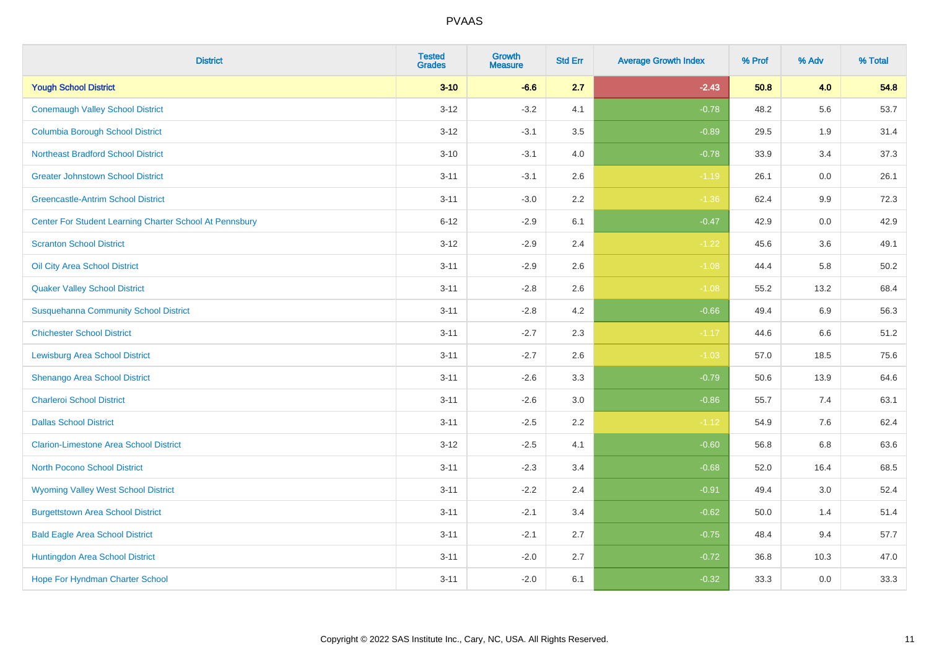| <b>District</b>                                         | <b>Tested</b><br><b>Grades</b> | <b>Growth</b><br><b>Measure</b> | <b>Std Err</b> | <b>Average Growth Index</b> | % Prof | % Adv | % Total |
|---------------------------------------------------------|--------------------------------|---------------------------------|----------------|-----------------------------|--------|-------|---------|
| <b>Yough School District</b>                            | $3 - 10$                       | $-6.6$                          | 2.7            | $-2.43$                     | 50.8   | 4.0   | 54.8    |
| <b>Conemaugh Valley School District</b>                 | $3 - 12$                       | $-3.2$                          | 4.1            | $-0.78$                     | 48.2   | 5.6   | 53.7    |
| <b>Columbia Borough School District</b>                 | $3 - 12$                       | $-3.1$                          | 3.5            | $-0.89$                     | 29.5   | 1.9   | 31.4    |
| <b>Northeast Bradford School District</b>               | $3 - 10$                       | $-3.1$                          | 4.0            | $-0.78$                     | 33.9   | 3.4   | 37.3    |
| <b>Greater Johnstown School District</b>                | $3 - 11$                       | $-3.1$                          | 2.6            | $-1.19$                     | 26.1   | 0.0   | 26.1    |
| <b>Greencastle-Antrim School District</b>               | $3 - 11$                       | $-3.0$                          | 2.2            | $-1.36$                     | 62.4   | 9.9   | 72.3    |
| Center For Student Learning Charter School At Pennsbury | $6 - 12$                       | $-2.9$                          | 6.1            | $-0.47$                     | 42.9   | 0.0   | 42.9    |
| <b>Scranton School District</b>                         | $3 - 12$                       | $-2.9$                          | 2.4            | $-1.22$                     | 45.6   | 3.6   | 49.1    |
| Oil City Area School District                           | $3 - 11$                       | $-2.9$                          | 2.6            | $-1.08$                     | 44.4   | 5.8   | 50.2    |
| <b>Quaker Valley School District</b>                    | $3 - 11$                       | $-2.8$                          | 2.6            | $-1.08$                     | 55.2   | 13.2  | 68.4    |
| <b>Susquehanna Community School District</b>            | $3 - 11$                       | $-2.8$                          | 4.2            | $-0.66$                     | 49.4   | 6.9   | 56.3    |
| <b>Chichester School District</b>                       | $3 - 11$                       | $-2.7$                          | 2.3            | $-1.17$                     | 44.6   | 6.6   | 51.2    |
| <b>Lewisburg Area School District</b>                   | $3 - 11$                       | $-2.7$                          | 2.6            | $-1.03$                     | 57.0   | 18.5  | 75.6    |
| Shenango Area School District                           | $3 - 11$                       | $-2.6$                          | 3.3            | $-0.79$                     | 50.6   | 13.9  | 64.6    |
| <b>Charleroi School District</b>                        | $3 - 11$                       | $-2.6$                          | 3.0            | $-0.86$                     | 55.7   | 7.4   | 63.1    |
| <b>Dallas School District</b>                           | $3 - 11$                       | $-2.5$                          | 2.2            | $-1.12$                     | 54.9   | 7.6   | 62.4    |
| <b>Clarion-Limestone Area School District</b>           | $3 - 12$                       | $-2.5$                          | 4.1            | $-0.60$                     | 56.8   | 6.8   | 63.6    |
| North Pocono School District                            | $3 - 11$                       | $-2.3$                          | 3.4            | $-0.68$                     | 52.0   | 16.4  | 68.5    |
| <b>Wyoming Valley West School District</b>              | $3 - 11$                       | $-2.2$                          | 2.4            | $-0.91$                     | 49.4   | 3.0   | 52.4    |
| <b>Burgettstown Area School District</b>                | $3 - 11$                       | $-2.1$                          | 3.4            | $-0.62$                     | 50.0   | 1.4   | 51.4    |
| <b>Bald Eagle Area School District</b>                  | $3 - 11$                       | $-2.1$                          | 2.7            | $-0.75$                     | 48.4   | 9.4   | 57.7    |
| Huntingdon Area School District                         | $3 - 11$                       | $-2.0$                          | 2.7            | $-0.72$                     | 36.8   | 10.3  | 47.0    |
| Hope For Hyndman Charter School                         | $3 - 11$                       | $-2.0$                          | 6.1            | $-0.32$                     | 33.3   | 0.0   | 33.3    |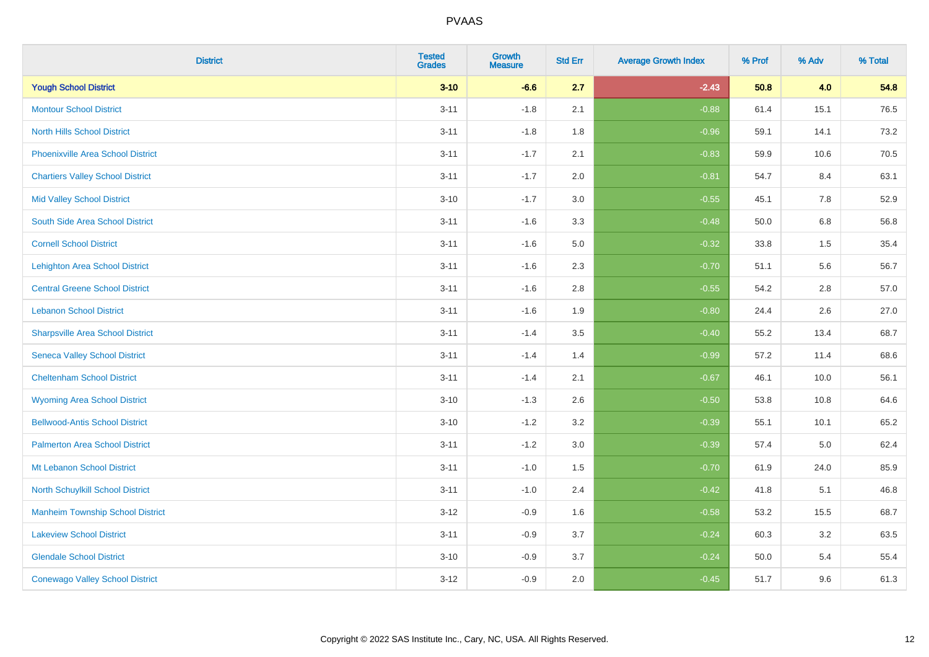| <b>District</b>                          | <b>Tested</b><br><b>Grades</b> | Growth<br><b>Measure</b> | <b>Std Err</b> | <b>Average Growth Index</b> | % Prof | % Adv   | % Total |
|------------------------------------------|--------------------------------|--------------------------|----------------|-----------------------------|--------|---------|---------|
| <b>Yough School District</b>             | $3 - 10$                       | $-6.6$                   | 2.7            | $-2.43$                     | 50.8   | 4.0     | 54.8    |
| <b>Montour School District</b>           | $3 - 11$                       | $-1.8$                   | 2.1            | $-0.88$                     | 61.4   | 15.1    | 76.5    |
| <b>North Hills School District</b>       | $3 - 11$                       | $-1.8$                   | 1.8            | $-0.96$                     | 59.1   | 14.1    | 73.2    |
| <b>Phoenixville Area School District</b> | $3 - 11$                       | $-1.7$                   | 2.1            | $-0.83$                     | 59.9   | 10.6    | 70.5    |
| <b>Chartiers Valley School District</b>  | $3 - 11$                       | $-1.7$                   | 2.0            | $-0.81$                     | 54.7   | 8.4     | 63.1    |
| <b>Mid Valley School District</b>        | $3 - 10$                       | $-1.7$                   | 3.0            | $-0.55$                     | 45.1   | 7.8     | 52.9    |
| South Side Area School District          | $3 - 11$                       | $-1.6$                   | 3.3            | $-0.48$                     | 50.0   | $6.8\,$ | 56.8    |
| <b>Cornell School District</b>           | $3 - 11$                       | $-1.6$                   | 5.0            | $-0.32$                     | 33.8   | 1.5     | 35.4    |
| <b>Lehighton Area School District</b>    | $3 - 11$                       | $-1.6$                   | 2.3            | $-0.70$                     | 51.1   | 5.6     | 56.7    |
| <b>Central Greene School District</b>    | $3 - 11$                       | $-1.6$                   | 2.8            | $-0.55$                     | 54.2   | $2.8\,$ | 57.0    |
| <b>Lebanon School District</b>           | $3 - 11$                       | $-1.6$                   | 1.9            | $-0.80$                     | 24.4   | 2.6     | 27.0    |
| <b>Sharpsville Area School District</b>  | $3 - 11$                       | $-1.4$                   | 3.5            | $-0.40$                     | 55.2   | 13.4    | 68.7    |
| <b>Seneca Valley School District</b>     | $3 - 11$                       | $-1.4$                   | 1.4            | $-0.99$                     | 57.2   | 11.4    | 68.6    |
| <b>Cheltenham School District</b>        | $3 - 11$                       | $-1.4$                   | 2.1            | $-0.67$                     | 46.1   | 10.0    | 56.1    |
| <b>Wyoming Area School District</b>      | $3 - 10$                       | $-1.3$                   | 2.6            | $-0.50$                     | 53.8   | 10.8    | 64.6    |
| <b>Bellwood-Antis School District</b>    | $3 - 10$                       | $-1.2$                   | 3.2            | $-0.39$                     | 55.1   | 10.1    | 65.2    |
| <b>Palmerton Area School District</b>    | $3 - 11$                       | $-1.2$                   | 3.0            | $-0.39$                     | 57.4   | 5.0     | 62.4    |
| Mt Lebanon School District               | $3 - 11$                       | $-1.0$                   | 1.5            | $-0.70$                     | 61.9   | 24.0    | 85.9    |
| North Schuylkill School District         | $3 - 11$                       | $-1.0$                   | 2.4            | $-0.42$                     | 41.8   | 5.1     | 46.8    |
| <b>Manheim Township School District</b>  | $3 - 12$                       | $-0.9$                   | 1.6            | $-0.58$                     | 53.2   | 15.5    | 68.7    |
| <b>Lakeview School District</b>          | $3 - 11$                       | $-0.9$                   | 3.7            | $-0.24$                     | 60.3   | 3.2     | 63.5    |
| <b>Glendale School District</b>          | $3 - 10$                       | $-0.9$                   | 3.7            | $-0.24$                     | 50.0   | 5.4     | 55.4    |
| <b>Conewago Valley School District</b>   | $3 - 12$                       | $-0.9$                   | 2.0            | $-0.45$                     | 51.7   | 9.6     | 61.3    |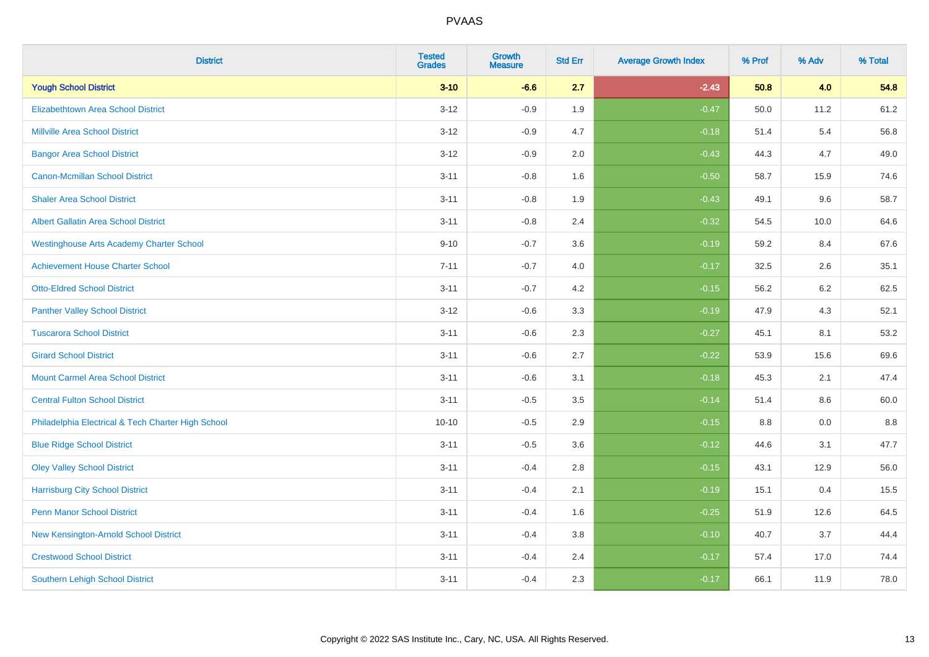| <b>District</b>                                    | <b>Tested</b><br><b>Grades</b> | <b>Growth</b><br><b>Measure</b> | <b>Std Err</b> | <b>Average Growth Index</b> | % Prof | % Adv | % Total |
|----------------------------------------------------|--------------------------------|---------------------------------|----------------|-----------------------------|--------|-------|---------|
| <b>Yough School District</b>                       | $3 - 10$                       | $-6.6$                          | 2.7            | $-2.43$                     | 50.8   | 4.0   | 54.8    |
| <b>Elizabethtown Area School District</b>          | $3 - 12$                       | $-0.9$                          | 1.9            | $-0.47$                     | 50.0   | 11.2  | 61.2    |
| <b>Millville Area School District</b>              | $3 - 12$                       | $-0.9$                          | 4.7            | $-0.18$                     | 51.4   | 5.4   | 56.8    |
| <b>Bangor Area School District</b>                 | $3 - 12$                       | $-0.9$                          | 2.0            | $-0.43$                     | 44.3   | 4.7   | 49.0    |
| <b>Canon-Mcmillan School District</b>              | $3 - 11$                       | $-0.8$                          | 1.6            | $-0.50$                     | 58.7   | 15.9  | 74.6    |
| <b>Shaler Area School District</b>                 | $3 - 11$                       | $-0.8$                          | 1.9            | $-0.43$                     | 49.1   | 9.6   | 58.7    |
| <b>Albert Gallatin Area School District</b>        | $3 - 11$                       | $-0.8$                          | 2.4            | $-0.32$                     | 54.5   | 10.0  | 64.6    |
| <b>Westinghouse Arts Academy Charter School</b>    | $9 - 10$                       | $-0.7$                          | 3.6            | $-0.19$                     | 59.2   | 8.4   | 67.6    |
| <b>Achievement House Charter School</b>            | $7 - 11$                       | $-0.7$                          | 4.0            | $-0.17$                     | 32.5   | 2.6   | 35.1    |
| <b>Otto-Eldred School District</b>                 | $3 - 11$                       | $-0.7$                          | 4.2            | $-0.15$                     | 56.2   | 6.2   | 62.5    |
| <b>Panther Valley School District</b>              | $3 - 12$                       | $-0.6$                          | 3.3            | $-0.19$                     | 47.9   | 4.3   | 52.1    |
| <b>Tuscarora School District</b>                   | $3 - 11$                       | $-0.6$                          | 2.3            | $-0.27$                     | 45.1   | 8.1   | 53.2    |
| <b>Girard School District</b>                      | $3 - 11$                       | $-0.6$                          | 2.7            | $-0.22$                     | 53.9   | 15.6  | 69.6    |
| <b>Mount Carmel Area School District</b>           | $3 - 11$                       | $-0.6$                          | 3.1            | $-0.18$                     | 45.3   | 2.1   | 47.4    |
| <b>Central Fulton School District</b>              | $3 - 11$                       | $-0.5$                          | 3.5            | $-0.14$                     | 51.4   | 8.6   | 60.0    |
| Philadelphia Electrical & Tech Charter High School | $10 - 10$                      | $-0.5$                          | 2.9            | $-0.15$                     | 8.8    | 0.0   | 8.8     |
| <b>Blue Ridge School District</b>                  | $3 - 11$                       | $-0.5$                          | 3.6            | $-0.12$                     | 44.6   | 3.1   | 47.7    |
| <b>Oley Valley School District</b>                 | $3 - 11$                       | $-0.4$                          | 2.8            | $-0.15$                     | 43.1   | 12.9  | 56.0    |
| <b>Harrisburg City School District</b>             | $3 - 11$                       | $-0.4$                          | 2.1            | $-0.19$                     | 15.1   | 0.4   | 15.5    |
| <b>Penn Manor School District</b>                  | $3 - 11$                       | $-0.4$                          | 1.6            | $-0.25$                     | 51.9   | 12.6  | 64.5    |
| <b>New Kensington-Arnold School District</b>       | $3 - 11$                       | $-0.4$                          | 3.8            | $-0.10$                     | 40.7   | 3.7   | 44.4    |
| <b>Crestwood School District</b>                   | $3 - 11$                       | $-0.4$                          | 2.4            | $-0.17$                     | 57.4   | 17.0  | 74.4    |
| <b>Southern Lehigh School District</b>             | $3 - 11$                       | $-0.4$                          | 2.3            | $-0.17$                     | 66.1   | 11.9  | 78.0    |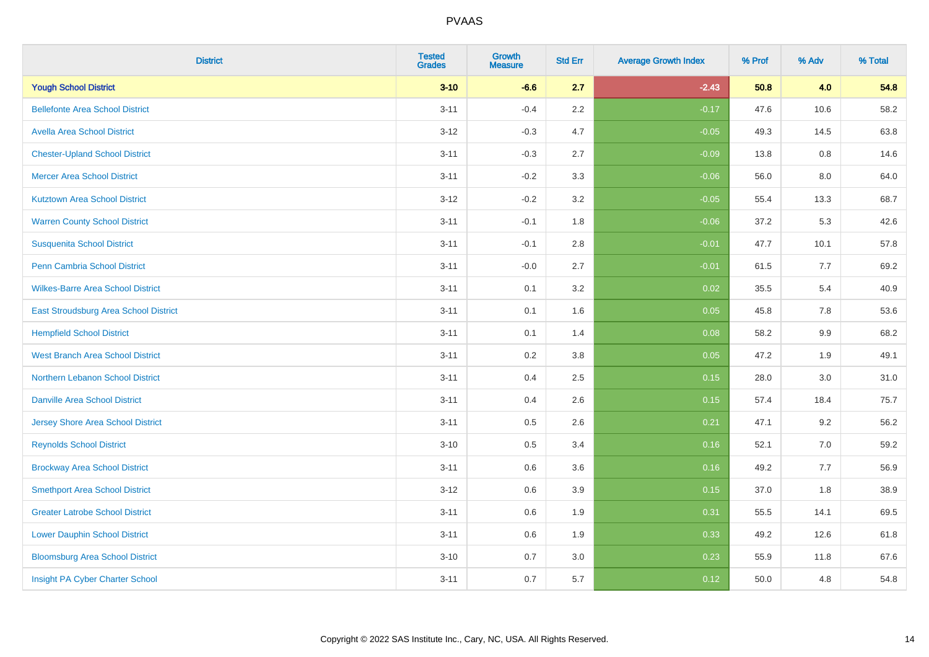| <b>District</b>                          | <b>Tested</b><br><b>Grades</b> | <b>Growth</b><br><b>Measure</b> | <b>Std Err</b> | <b>Average Growth Index</b> | % Prof | % Adv   | % Total |
|------------------------------------------|--------------------------------|---------------------------------|----------------|-----------------------------|--------|---------|---------|
| <b>Yough School District</b>             | $3 - 10$                       | $-6.6$                          | 2.7            | $-2.43$                     | 50.8   | 4.0     | 54.8    |
| <b>Bellefonte Area School District</b>   | $3 - 11$                       | $-0.4$                          | 2.2            | $-0.17$                     | 47.6   | 10.6    | 58.2    |
| <b>Avella Area School District</b>       | $3-12$                         | $-0.3$                          | 4.7            | $-0.05$                     | 49.3   | 14.5    | 63.8    |
| <b>Chester-Upland School District</b>    | $3 - 11$                       | $-0.3$                          | 2.7            | $-0.09$                     | 13.8   | 0.8     | 14.6    |
| <b>Mercer Area School District</b>       | $3 - 11$                       | $-0.2$                          | 3.3            | $-0.06$                     | 56.0   | 8.0     | 64.0    |
| <b>Kutztown Area School District</b>     | $3-12$                         | $-0.2$                          | 3.2            | $-0.05$                     | 55.4   | 13.3    | 68.7    |
| <b>Warren County School District</b>     | $3 - 11$                       | $-0.1$                          | 1.8            | $-0.06$                     | 37.2   | 5.3     | 42.6    |
| <b>Susquenita School District</b>        | $3 - 11$                       | $-0.1$                          | 2.8            | $-0.01$                     | 47.7   | 10.1    | 57.8    |
| <b>Penn Cambria School District</b>      | $3 - 11$                       | $-0.0$                          | 2.7            | $-0.01$                     | 61.5   | 7.7     | 69.2    |
| <b>Wilkes-Barre Area School District</b> | $3 - 11$                       | 0.1                             | 3.2            | 0.02                        | 35.5   | 5.4     | 40.9    |
| East Stroudsburg Area School District    | $3 - 11$                       | 0.1                             | 1.6            | 0.05                        | 45.8   | 7.8     | 53.6    |
| <b>Hempfield School District</b>         | $3 - 11$                       | 0.1                             | 1.4            | 0.08                        | 58.2   | 9.9     | 68.2    |
| <b>West Branch Area School District</b>  | $3 - 11$                       | 0.2                             | 3.8            | 0.05                        | 47.2   | 1.9     | 49.1    |
| Northern Lebanon School District         | $3 - 11$                       | 0.4                             | 2.5            | 0.15                        | 28.0   | $3.0\,$ | 31.0    |
| <b>Danville Area School District</b>     | $3 - 11$                       | 0.4                             | 2.6            | 0.15                        | 57.4   | 18.4    | 75.7    |
| <b>Jersey Shore Area School District</b> | $3 - 11$                       | 0.5                             | 2.6            | 0.21                        | 47.1   | 9.2     | 56.2    |
| <b>Reynolds School District</b>          | $3 - 10$                       | 0.5                             | 3.4            | 0.16                        | 52.1   | 7.0     | 59.2    |
| <b>Brockway Area School District</b>     | $3 - 11$                       | 0.6                             | 3.6            | 0.16                        | 49.2   | 7.7     | 56.9    |
| <b>Smethport Area School District</b>    | $3 - 12$                       | 0.6                             | 3.9            | 0.15                        | 37.0   | 1.8     | 38.9    |
| <b>Greater Latrobe School District</b>   | $3 - 11$                       | 0.6                             | 1.9            | 0.31                        | 55.5   | 14.1    | 69.5    |
| <b>Lower Dauphin School District</b>     | $3 - 11$                       | 0.6                             | 1.9            | 0.33                        | 49.2   | 12.6    | 61.8    |
| <b>Bloomsburg Area School District</b>   | $3 - 10$                       | 0.7                             | 3.0            | 0.23                        | 55.9   | 11.8    | 67.6    |
| Insight PA Cyber Charter School          | $3 - 11$                       | 0.7                             | 5.7            | 0.12                        | 50.0   | 4.8     | 54.8    |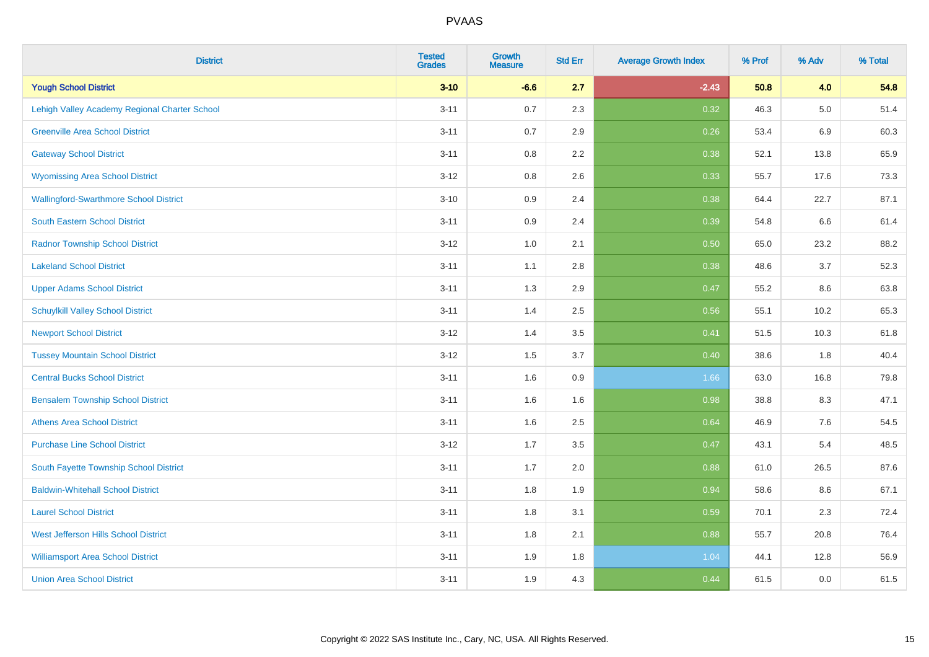| <b>District</b>                               | <b>Tested</b><br><b>Grades</b> | Growth<br><b>Measure</b> | <b>Std Err</b> | <b>Average Growth Index</b> | % Prof | % Adv   | % Total |
|-----------------------------------------------|--------------------------------|--------------------------|----------------|-----------------------------|--------|---------|---------|
| <b>Yough School District</b>                  | $3 - 10$                       | $-6.6$                   | 2.7            | $-2.43$                     | 50.8   | 4.0     | 54.8    |
| Lehigh Valley Academy Regional Charter School | $3 - 11$                       | 0.7                      | 2.3            | 0.32                        | 46.3   | $5.0\,$ | 51.4    |
| <b>Greenville Area School District</b>        | $3 - 11$                       | 0.7                      | 2.9            | 0.26                        | 53.4   | 6.9     | 60.3    |
| <b>Gateway School District</b>                | $3 - 11$                       | $0.8\,$                  | 2.2            | 0.38                        | 52.1   | 13.8    | 65.9    |
| <b>Wyomissing Area School District</b>        | $3 - 12$                       | 0.8                      | 2.6            | 0.33                        | 55.7   | 17.6    | 73.3    |
| <b>Wallingford-Swarthmore School District</b> | $3 - 10$                       | 0.9                      | 2.4            | 0.38                        | 64.4   | 22.7    | 87.1    |
| <b>South Eastern School District</b>          | $3 - 11$                       | 0.9                      | 2.4            | 0.39                        | 54.8   | 6.6     | 61.4    |
| <b>Radnor Township School District</b>        | $3 - 12$                       | $1.0\,$                  | 2.1            | 0.50                        | 65.0   | 23.2    | 88.2    |
| <b>Lakeland School District</b>               | $3 - 11$                       | 1.1                      | 2.8            | 0.38                        | 48.6   | 3.7     | 52.3    |
| <b>Upper Adams School District</b>            | $3 - 11$                       | 1.3                      | 2.9            | 0.47                        | 55.2   | 8.6     | 63.8    |
| <b>Schuylkill Valley School District</b>      | $3 - 11$                       | 1.4                      | 2.5            | 0.56                        | 55.1   | 10.2    | 65.3    |
| <b>Newport School District</b>                | $3 - 12$                       | 1.4                      | 3.5            | 0.41                        | 51.5   | 10.3    | 61.8    |
| <b>Tussey Mountain School District</b>        | $3 - 12$                       | 1.5                      | 3.7            | 0.40                        | 38.6   | 1.8     | 40.4    |
| <b>Central Bucks School District</b>          | $3 - 11$                       | 1.6                      | 0.9            | 1.66                        | 63.0   | 16.8    | 79.8    |
| <b>Bensalem Township School District</b>      | $3 - 11$                       | 1.6                      | 1.6            | 0.98                        | 38.8   | 8.3     | 47.1    |
| <b>Athens Area School District</b>            | $3 - 11$                       | 1.6                      | 2.5            | 0.64                        | 46.9   | $7.6\,$ | 54.5    |
| <b>Purchase Line School District</b>          | $3 - 12$                       | 1.7                      | 3.5            | 0.47                        | 43.1   | 5.4     | 48.5    |
| South Fayette Township School District        | $3 - 11$                       | 1.7                      | 2.0            | 0.88                        | 61.0   | 26.5    | 87.6    |
| <b>Baldwin-Whitehall School District</b>      | $3 - 11$                       | 1.8                      | 1.9            | 0.94                        | 58.6   | $8.6\,$ | 67.1    |
| <b>Laurel School District</b>                 | $3 - 11$                       | 1.8                      | 3.1            | 0.59                        | 70.1   | 2.3     | 72.4    |
| <b>West Jefferson Hills School District</b>   | $3 - 11$                       | 1.8                      | 2.1            | 0.88                        | 55.7   | 20.8    | 76.4    |
| <b>Williamsport Area School District</b>      | $3 - 11$                       | 1.9                      | 1.8            | 1.04                        | 44.1   | 12.8    | 56.9    |
| <b>Union Area School District</b>             | $3 - 11$                       | 1.9                      | 4.3            | 0.44                        | 61.5   | 0.0     | 61.5    |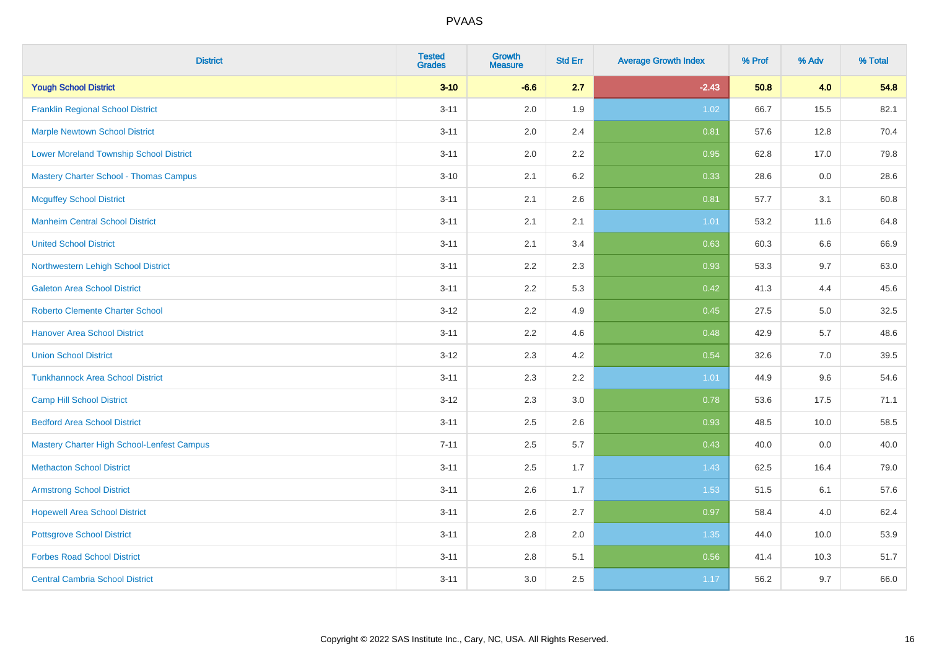| <b>District</b>                                | <b>Tested</b><br><b>Grades</b> | <b>Growth</b><br><b>Measure</b> | <b>Std Err</b> | <b>Average Growth Index</b> | % Prof | % Adv | % Total |
|------------------------------------------------|--------------------------------|---------------------------------|----------------|-----------------------------|--------|-------|---------|
| <b>Yough School District</b>                   | $3 - 10$                       | $-6.6$                          | 2.7            | $-2.43$                     | 50.8   | 4.0   | 54.8    |
| <b>Franklin Regional School District</b>       | $3 - 11$                       | 2.0                             | 1.9            | 1.02                        | 66.7   | 15.5  | 82.1    |
| <b>Marple Newtown School District</b>          | $3 - 11$                       | 2.0                             | 2.4            | 0.81                        | 57.6   | 12.8  | 70.4    |
| <b>Lower Moreland Township School District</b> | $3 - 11$                       | 2.0                             | 2.2            | 0.95                        | 62.8   | 17.0  | 79.8    |
| <b>Mastery Charter School - Thomas Campus</b>  | $3 - 10$                       | 2.1                             | 6.2            | 0.33                        | 28.6   | 0.0   | 28.6    |
| <b>Mcguffey School District</b>                | $3 - 11$                       | 2.1                             | 2.6            | 0.81                        | 57.7   | 3.1   | 60.8    |
| <b>Manheim Central School District</b>         | $3 - 11$                       | 2.1                             | 2.1            | 1.01                        | 53.2   | 11.6  | 64.8    |
| <b>United School District</b>                  | $3 - 11$                       | 2.1                             | 3.4            | 0.63                        | 60.3   | 6.6   | 66.9    |
| Northwestern Lehigh School District            | $3 - 11$                       | 2.2                             | 2.3            | 0.93                        | 53.3   | 9.7   | 63.0    |
| <b>Galeton Area School District</b>            | $3 - 11$                       | 2.2                             | 5.3            | 0.42                        | 41.3   | 4.4   | 45.6    |
| <b>Roberto Clemente Charter School</b>         | $3 - 12$                       | 2.2                             | 4.9            | 0.45                        | 27.5   | 5.0   | 32.5    |
| <b>Hanover Area School District</b>            | $3 - 11$                       | 2.2                             | 4.6            | 0.48                        | 42.9   | 5.7   | 48.6    |
| <b>Union School District</b>                   | $3 - 12$                       | 2.3                             | 4.2            | 0.54                        | 32.6   | 7.0   | 39.5    |
| <b>Tunkhannock Area School District</b>        | $3 - 11$                       | 2.3                             | 2.2            | 1.01                        | 44.9   | 9.6   | 54.6    |
| <b>Camp Hill School District</b>               | $3 - 12$                       | 2.3                             | 3.0            | 0.78                        | 53.6   | 17.5  | 71.1    |
| <b>Bedford Area School District</b>            | $3 - 11$                       | 2.5                             | 2.6            | 0.93                        | 48.5   | 10.0  | 58.5    |
| Mastery Charter High School-Lenfest Campus     | $7 - 11$                       | 2.5                             | 5.7            | 0.43                        | 40.0   | 0.0   | 40.0    |
| <b>Methacton School District</b>               | $3 - 11$                       | 2.5                             | 1.7            | 1.43                        | 62.5   | 16.4  | 79.0    |
| <b>Armstrong School District</b>               | $3 - 11$                       | 2.6                             | 1.7            | 1.53                        | 51.5   | 6.1   | 57.6    |
| <b>Hopewell Area School District</b>           | $3 - 11$                       | 2.6                             | 2.7            | 0.97                        | 58.4   | 4.0   | 62.4    |
| <b>Pottsgrove School District</b>              | $3 - 11$                       | 2.8                             | 2.0            | 1.35                        | 44.0   | 10.0  | 53.9    |
| <b>Forbes Road School District</b>             | $3 - 11$                       | 2.8                             | 5.1            | 0.56                        | 41.4   | 10.3  | 51.7    |
| <b>Central Cambria School District</b>         | $3 - 11$                       | 3.0                             | 2.5            | 1.17                        | 56.2   | 9.7   | 66.0    |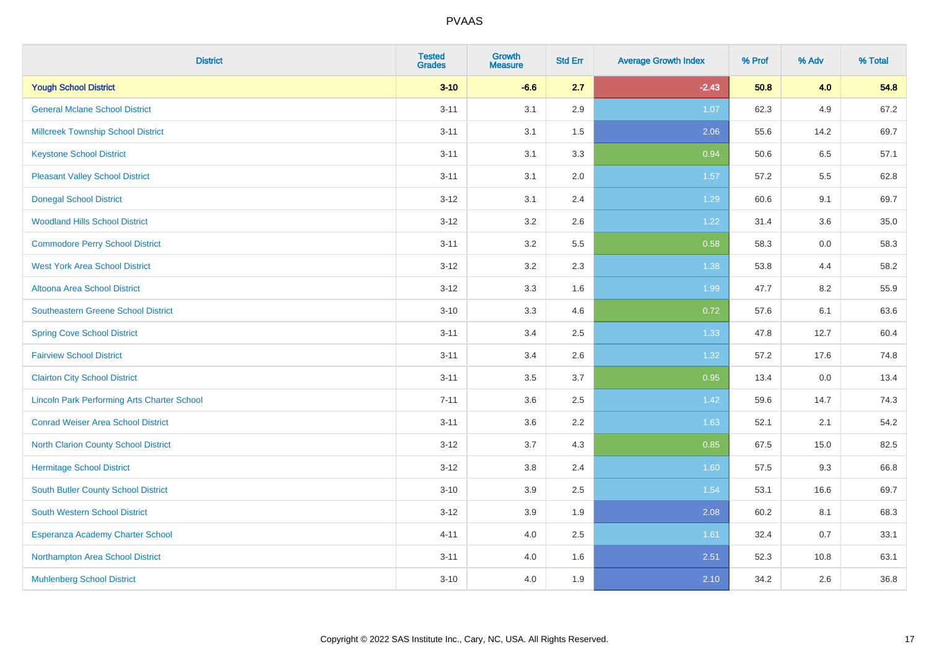| <b>District</b>                                    | <b>Tested</b><br><b>Grades</b> | <b>Growth</b><br><b>Measure</b> | <b>Std Err</b> | <b>Average Growth Index</b> | % Prof | % Adv | % Total |
|----------------------------------------------------|--------------------------------|---------------------------------|----------------|-----------------------------|--------|-------|---------|
| <b>Yough School District</b>                       | $3 - 10$                       | $-6.6$                          | 2.7            | $-2.43$                     | 50.8   | 4.0   | 54.8    |
| <b>General Mclane School District</b>              | $3 - 11$                       | 3.1                             | 2.9            | 1.07                        | 62.3   | 4.9   | 67.2    |
| <b>Millcreek Township School District</b>          | $3 - 11$                       | 3.1                             | 1.5            | 2.06                        | 55.6   | 14.2  | 69.7    |
| <b>Keystone School District</b>                    | $3 - 11$                       | 3.1                             | 3.3            | 0.94                        | 50.6   | 6.5   | 57.1    |
| <b>Pleasant Valley School District</b>             | $3 - 11$                       | 3.1                             | 2.0            | 1.57                        | 57.2   | 5.5   | 62.8    |
| <b>Donegal School District</b>                     | $3 - 12$                       | 3.1                             | 2.4            | 1.29                        | 60.6   | 9.1   | 69.7    |
| <b>Woodland Hills School District</b>              | $3 - 12$                       | 3.2                             | 2.6            | 1.22                        | 31.4   | 3.6   | 35.0    |
| <b>Commodore Perry School District</b>             | $3 - 11$                       | 3.2                             | 5.5            | 0.58                        | 58.3   | 0.0   | 58.3    |
| <b>West York Area School District</b>              | $3 - 12$                       | 3.2                             | 2.3            | 1.38                        | 53.8   | 4.4   | 58.2    |
| Altoona Area School District                       | $3 - 12$                       | 3.3                             | 1.6            | 1.99                        | 47.7   | 8.2   | 55.9    |
| <b>Southeastern Greene School District</b>         | $3 - 10$                       | 3.3                             | 4.6            | 0.72                        | 57.6   | 6.1   | 63.6    |
| <b>Spring Cove School District</b>                 | $3 - 11$                       | 3.4                             | 2.5            | 1.33                        | 47.8   | 12.7  | 60.4    |
| <b>Fairview School District</b>                    | $3 - 11$                       | 3.4                             | 2.6            | 1.32                        | 57.2   | 17.6  | 74.8    |
| <b>Clairton City School District</b>               | $3 - 11$                       | 3.5                             | 3.7            | 0.95                        | 13.4   | 0.0   | 13.4    |
| <b>Lincoln Park Performing Arts Charter School</b> | $7 - 11$                       | 3.6                             | 2.5            | 1.42                        | 59.6   | 14.7  | 74.3    |
| <b>Conrad Weiser Area School District</b>          | $3 - 11$                       | 3.6                             | 2.2            | 1.63                        | 52.1   | 2.1   | 54.2    |
| <b>North Clarion County School District</b>        | $3 - 12$                       | 3.7                             | 4.3            | 0.85                        | 67.5   | 15.0  | 82.5    |
| <b>Hermitage School District</b>                   | $3 - 12$                       | 3.8                             | 2.4            | 1.60                        | 57.5   | 9.3   | 66.8    |
| <b>South Butler County School District</b>         | $3 - 10$                       | 3.9                             | 2.5            | 1.54                        | 53.1   | 16.6  | 69.7    |
| South Western School District                      | $3-12$                         | 3.9                             | 1.9            | 2.08                        | 60.2   | 8.1   | 68.3    |
| Esperanza Academy Charter School                   | $4 - 11$                       | 4.0                             | 2.5            | 1.61                        | 32.4   | 0.7   | 33.1    |
| Northampton Area School District                   | $3 - 11$                       | 4.0                             | 1.6            | 2.51                        | 52.3   | 10.8  | 63.1    |
| <b>Muhlenberg School District</b>                  | $3 - 10$                       | 4.0                             | 1.9            | 2.10                        | 34.2   | 2.6   | 36.8    |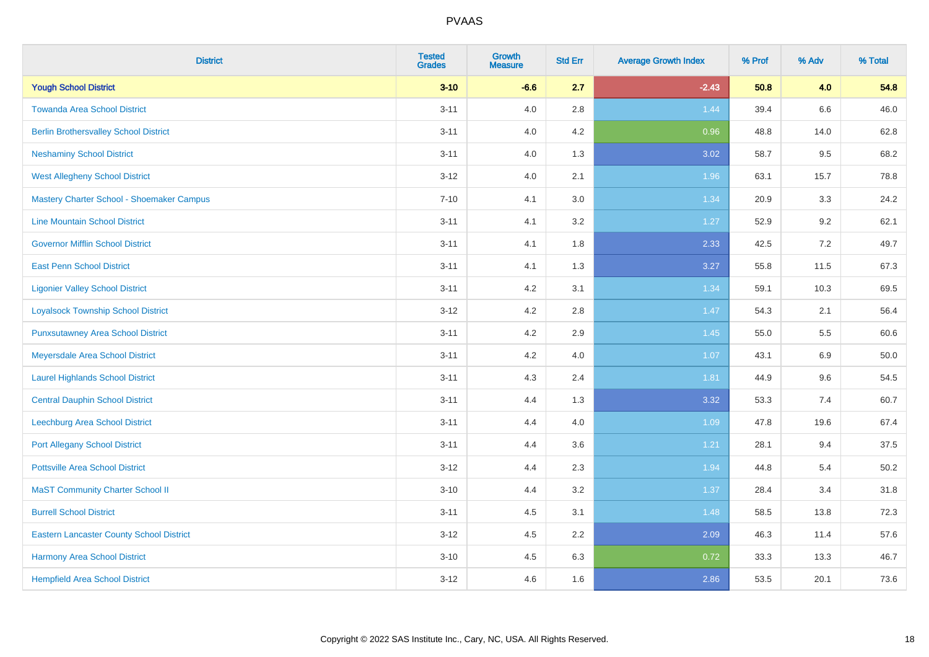| <b>District</b>                                 | <b>Tested</b><br><b>Grades</b> | <b>Growth</b><br><b>Measure</b> | <b>Std Err</b> | <b>Average Growth Index</b> | % Prof | % Adv   | % Total |
|-------------------------------------------------|--------------------------------|---------------------------------|----------------|-----------------------------|--------|---------|---------|
| <b>Yough School District</b>                    | $3 - 10$                       | $-6.6$                          | 2.7            | $-2.43$                     | 50.8   | 4.0     | 54.8    |
| <b>Towanda Area School District</b>             | $3 - 11$                       | 4.0                             | 2.8            | 1.44                        | 39.4   | $6.6\,$ | 46.0    |
| <b>Berlin Brothersvalley School District</b>    | $3 - 11$                       | 4.0                             | 4.2            | 0.96                        | 48.8   | 14.0    | 62.8    |
| <b>Neshaminy School District</b>                | $3 - 11$                       | 4.0                             | 1.3            | 3.02                        | 58.7   | 9.5     | 68.2    |
| <b>West Allegheny School District</b>           | $3 - 12$                       | 4.0                             | 2.1            | 1.96                        | 63.1   | 15.7    | 78.8    |
| Mastery Charter School - Shoemaker Campus       | $7 - 10$                       | 4.1                             | 3.0            | 1.34                        | 20.9   | 3.3     | 24.2    |
| <b>Line Mountain School District</b>            | $3 - 11$                       | 4.1                             | 3.2            | $1.27$                      | 52.9   | 9.2     | 62.1    |
| <b>Governor Mifflin School District</b>         | $3 - 11$                       | 4.1                             | 1.8            | 2.33                        | 42.5   | 7.2     | 49.7    |
| <b>East Penn School District</b>                | $3 - 11$                       | 4.1                             | 1.3            | 3.27                        | 55.8   | 11.5    | 67.3    |
| <b>Ligonier Valley School District</b>          | $3 - 11$                       | 4.2                             | 3.1            | 1.34                        | 59.1   | 10.3    | 69.5    |
| <b>Loyalsock Township School District</b>       | $3 - 12$                       | 4.2                             | 2.8            | 1.47                        | 54.3   | 2.1     | 56.4    |
| <b>Punxsutawney Area School District</b>        | $3 - 11$                       | 4.2                             | 2.9            | 1.45                        | 55.0   | 5.5     | 60.6    |
| Meyersdale Area School District                 | $3 - 11$                       | 4.2                             | 4.0            | 1.07                        | 43.1   | 6.9     | 50.0    |
| <b>Laurel Highlands School District</b>         | $3 - 11$                       | 4.3                             | 2.4            | 1.81                        | 44.9   | 9.6     | 54.5    |
| <b>Central Dauphin School District</b>          | $3 - 11$                       | 4.4                             | 1.3            | 3.32                        | 53.3   | 7.4     | 60.7    |
| Leechburg Area School District                  | $3 - 11$                       | 4.4                             | 4.0            | 1.09                        | 47.8   | 19.6    | 67.4    |
| <b>Port Allegany School District</b>            | $3 - 11$                       | 4.4                             | 3.6            | 1.21                        | 28.1   | 9.4     | 37.5    |
| <b>Pottsville Area School District</b>          | $3-12$                         | 4.4                             | 2.3            | 1.94                        | 44.8   | 5.4     | 50.2    |
| <b>MaST Community Charter School II</b>         | $3 - 10$                       | 4.4                             | 3.2            | 1.37                        | 28.4   | 3.4     | 31.8    |
| <b>Burrell School District</b>                  | $3 - 11$                       | 4.5                             | 3.1            | 1.48                        | 58.5   | 13.8    | 72.3    |
| <b>Eastern Lancaster County School District</b> | $3-12$                         | 4.5                             | 2.2            | 2.09                        | 46.3   | 11.4    | 57.6    |
| Harmony Area School District                    | $3 - 10$                       | 4.5                             | 6.3            | 0.72                        | 33.3   | 13.3    | 46.7    |
| <b>Hempfield Area School District</b>           | $3-12$                         | 4.6                             | 1.6            | 2.86                        | 53.5   | 20.1    | 73.6    |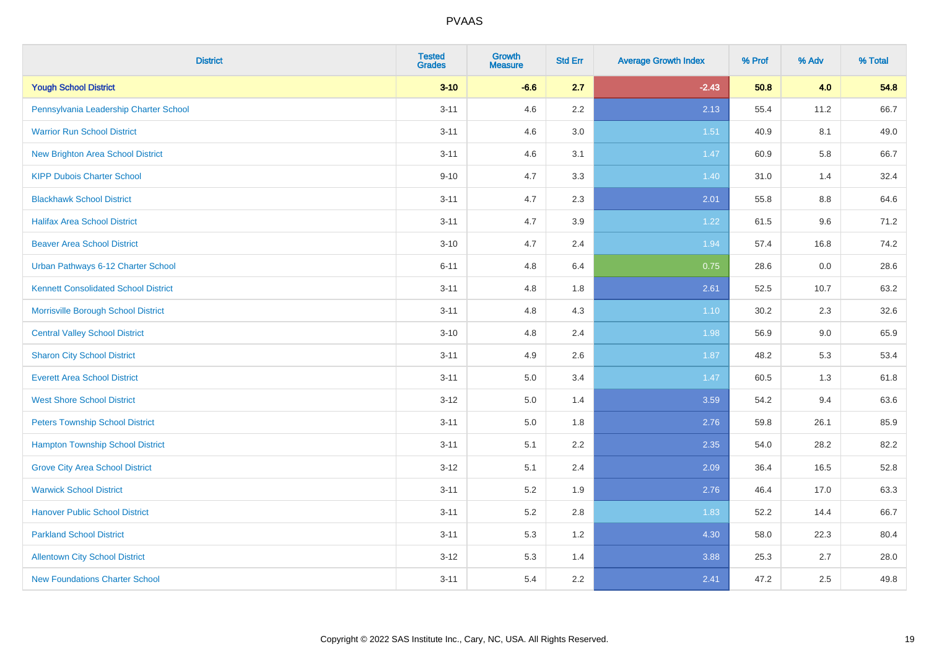| <b>District</b>                             | <b>Tested</b><br><b>Grades</b> | <b>Growth</b><br><b>Measure</b> | <b>Std Err</b> | <b>Average Growth Index</b> | % Prof | % Adv   | % Total |
|---------------------------------------------|--------------------------------|---------------------------------|----------------|-----------------------------|--------|---------|---------|
| <b>Yough School District</b>                | $3 - 10$                       | $-6.6$                          | 2.7            | $-2.43$                     | 50.8   | 4.0     | 54.8    |
| Pennsylvania Leadership Charter School      | $3 - 11$                       | 4.6                             | 2.2            | 2.13                        | 55.4   | 11.2    | 66.7    |
| <b>Warrior Run School District</b>          | $3 - 11$                       | 4.6                             | 3.0            | 1.51                        | 40.9   | 8.1     | 49.0    |
| New Brighton Area School District           | $3 - 11$                       | 4.6                             | 3.1            | 1.47                        | 60.9   | 5.8     | 66.7    |
| <b>KIPP Dubois Charter School</b>           | $9 - 10$                       | 4.7                             | 3.3            | 1.40                        | 31.0   | 1.4     | 32.4    |
| <b>Blackhawk School District</b>            | $3 - 11$                       | 4.7                             | 2.3            | 2.01                        | 55.8   | 8.8     | 64.6    |
| <b>Halifax Area School District</b>         | $3 - 11$                       | 4.7                             | 3.9            | 1.22                        | 61.5   | 9.6     | 71.2    |
| <b>Beaver Area School District</b>          | $3 - 10$                       | 4.7                             | 2.4            | 1.94                        | 57.4   | 16.8    | 74.2    |
| Urban Pathways 6-12 Charter School          | $6 - 11$                       | 4.8                             | 6.4            | 0.75                        | 28.6   | $0.0\,$ | 28.6    |
| <b>Kennett Consolidated School District</b> | $3 - 11$                       | 4.8                             | 1.8            | 2.61                        | 52.5   | 10.7    | 63.2    |
| Morrisville Borough School District         | $3 - 11$                       | 4.8                             | 4.3            | 1.10                        | 30.2   | 2.3     | 32.6    |
| <b>Central Valley School District</b>       | $3 - 10$                       | 4.8                             | 2.4            | 1.98                        | 56.9   | $9.0\,$ | 65.9    |
| <b>Sharon City School District</b>          | $3 - 11$                       | 4.9                             | 2.6            | 1.87                        | 48.2   | 5.3     | 53.4    |
| <b>Everett Area School District</b>         | $3 - 11$                       | 5.0                             | 3.4            | 1.47                        | 60.5   | 1.3     | 61.8    |
| <b>West Shore School District</b>           | $3-12$                         | $5.0\,$                         | 1.4            | 3.59                        | 54.2   | 9.4     | 63.6    |
| <b>Peters Township School District</b>      | $3 - 11$                       | 5.0                             | 1.8            | 2.76                        | 59.8   | 26.1    | 85.9    |
| <b>Hampton Township School District</b>     | $3 - 11$                       | 5.1                             | 2.2            | 2.35                        | 54.0   | 28.2    | 82.2    |
| <b>Grove City Area School District</b>      | $3-12$                         | 5.1                             | 2.4            | 2.09                        | 36.4   | 16.5    | 52.8    |
| <b>Warwick School District</b>              | $3 - 11$                       | 5.2                             | 1.9            | 2.76                        | 46.4   | 17.0    | 63.3    |
| <b>Hanover Public School District</b>       | $3 - 11$                       | 5.2                             | 2.8            | 1.83                        | 52.2   | 14.4    | 66.7    |
| <b>Parkland School District</b>             | $3 - 11$                       | 5.3                             | 1.2            | 4.30                        | 58.0   | 22.3    | 80.4    |
| <b>Allentown City School District</b>       | $3 - 12$                       | 5.3                             | 1.4            | 3.88                        | 25.3   | 2.7     | 28.0    |
| <b>New Foundations Charter School</b>       | $3 - 11$                       | 5.4                             | 2.2            | 2.41                        | 47.2   | 2.5     | 49.8    |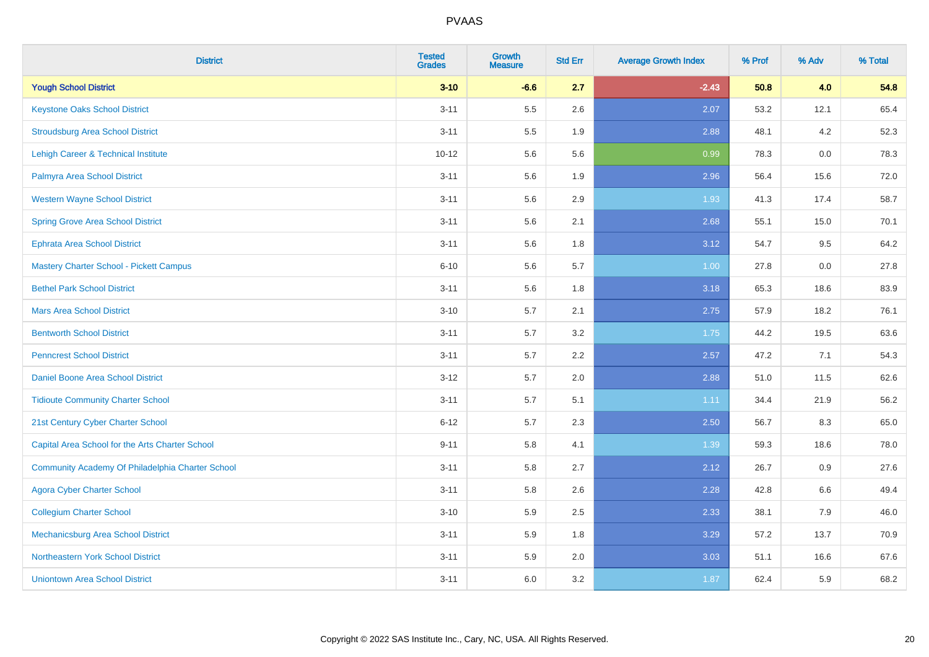| <b>District</b>                                  | <b>Tested</b><br><b>Grades</b> | <b>Growth</b><br><b>Measure</b> | <b>Std Err</b> | <b>Average Growth Index</b> | % Prof | % Adv | % Total |
|--------------------------------------------------|--------------------------------|---------------------------------|----------------|-----------------------------|--------|-------|---------|
| <b>Yough School District</b>                     | $3 - 10$                       | $-6.6$                          | 2.7            | $-2.43$                     | 50.8   | 4.0   | 54.8    |
| <b>Keystone Oaks School District</b>             | $3 - 11$                       | 5.5                             | 2.6            | 2.07                        | 53.2   | 12.1  | 65.4    |
| <b>Stroudsburg Area School District</b>          | $3 - 11$                       | $5.5\,$                         | 1.9            | 2.88                        | 48.1   | 4.2   | 52.3    |
| <b>Lehigh Career &amp; Technical Institute</b>   | $10 - 12$                      | 5.6                             | 5.6            | 0.99                        | 78.3   | 0.0   | 78.3    |
| Palmyra Area School District                     | $3 - 11$                       | 5.6                             | 1.9            | 2.96                        | 56.4   | 15.6  | 72.0    |
| <b>Western Wayne School District</b>             | $3 - 11$                       | 5.6                             | 2.9            | 1.93                        | 41.3   | 17.4  | 58.7    |
| <b>Spring Grove Area School District</b>         | $3 - 11$                       | 5.6                             | 2.1            | 2.68                        | 55.1   | 15.0  | 70.1    |
| <b>Ephrata Area School District</b>              | $3 - 11$                       | 5.6                             | 1.8            | 3.12                        | 54.7   | 9.5   | 64.2    |
| Mastery Charter School - Pickett Campus          | $6 - 10$                       | 5.6                             | 5.7            | 1.00                        | 27.8   | 0.0   | 27.8    |
| <b>Bethel Park School District</b>               | $3 - 11$                       | $5.6\,$                         | 1.8            | 3.18                        | 65.3   | 18.6  | 83.9    |
| <b>Mars Area School District</b>                 | $3 - 10$                       | 5.7                             | 2.1            | 2.75                        | 57.9   | 18.2  | 76.1    |
| <b>Bentworth School District</b>                 | $3 - 11$                       | 5.7                             | 3.2            | 1.75                        | 44.2   | 19.5  | 63.6    |
| <b>Penncrest School District</b>                 | $3 - 11$                       | 5.7                             | 2.2            | 2.57                        | 47.2   | 7.1   | 54.3    |
| Daniel Boone Area School District                | $3 - 12$                       | 5.7                             | 2.0            | 2.88                        | 51.0   | 11.5  | 62.6    |
| <b>Tidioute Community Charter School</b>         | $3 - 11$                       | 5.7                             | 5.1            | 1.11                        | 34.4   | 21.9  | 56.2    |
| 21st Century Cyber Charter School                | $6 - 12$                       | 5.7                             | 2.3            | 2.50                        | 56.7   | 8.3   | 65.0    |
| Capital Area School for the Arts Charter School  | $9 - 11$                       | 5.8                             | 4.1            | 1.39                        | 59.3   | 18.6  | 78.0    |
| Community Academy Of Philadelphia Charter School | $3 - 11$                       | 5.8                             | 2.7            | 2.12                        | 26.7   | 0.9   | 27.6    |
| <b>Agora Cyber Charter School</b>                | $3 - 11$                       | 5.8                             | 2.6            | 2.28                        | 42.8   | 6.6   | 49.4    |
| <b>Collegium Charter School</b>                  | $3 - 10$                       | 5.9                             | 2.5            | 2.33                        | 38.1   | 7.9   | 46.0    |
| Mechanicsburg Area School District               | $3 - 11$                       | 5.9                             | 1.8            | 3.29                        | 57.2   | 13.7  | 70.9    |
| Northeastern York School District                | $3 - 11$                       | 5.9                             | 2.0            | 3.03                        | 51.1   | 16.6  | 67.6    |
| <b>Uniontown Area School District</b>            | $3 - 11$                       | 6.0                             | 3.2            | 1.87                        | 62.4   | 5.9   | 68.2    |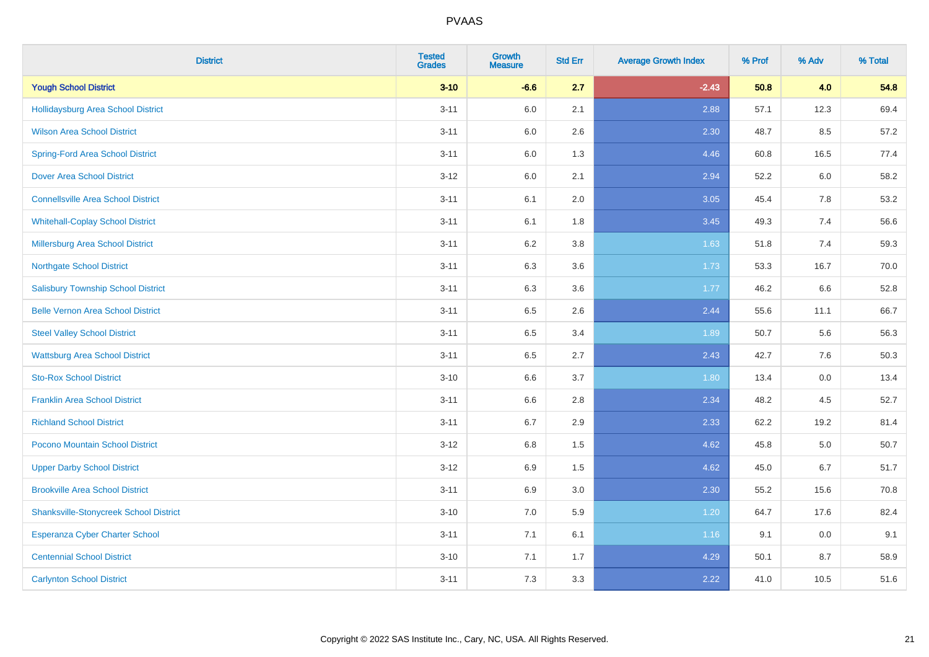| <b>District</b>                               | <b>Tested</b><br><b>Grades</b> | <b>Growth</b><br><b>Measure</b> | <b>Std Err</b> | <b>Average Growth Index</b> | % Prof | % Adv   | % Total |
|-----------------------------------------------|--------------------------------|---------------------------------|----------------|-----------------------------|--------|---------|---------|
| <b>Yough School District</b>                  | $3 - 10$                       | $-6.6$                          | 2.7            | $-2.43$                     | 50.8   | 4.0     | 54.8    |
| Hollidaysburg Area School District            | $3 - 11$                       | 6.0                             | 2.1            | 2.88                        | 57.1   | 12.3    | 69.4    |
| <b>Wilson Area School District</b>            | $3 - 11$                       | 6.0                             | 2.6            | 2.30                        | 48.7   | 8.5     | 57.2    |
| <b>Spring-Ford Area School District</b>       | $3 - 11$                       | $6.0\,$                         | 1.3            | 4.46                        | 60.8   | 16.5    | 77.4    |
| <b>Dover Area School District</b>             | $3 - 12$                       | 6.0                             | 2.1            | 2.94                        | 52.2   | 6.0     | 58.2    |
| <b>Connellsville Area School District</b>     | $3 - 11$                       | 6.1                             | 2.0            | 3.05                        | 45.4   | 7.8     | 53.2    |
| <b>Whitehall-Coplay School District</b>       | $3 - 11$                       | 6.1                             | 1.8            | 3.45                        | 49.3   | 7.4     | 56.6    |
| <b>Millersburg Area School District</b>       | $3 - 11$                       | 6.2                             | 3.8            | 1.63                        | 51.8   | 7.4     | 59.3    |
| <b>Northgate School District</b>              | $3 - 11$                       | 6.3                             | 3.6            | 1.73                        | 53.3   | 16.7    | 70.0    |
| <b>Salisbury Township School District</b>     | $3 - 11$                       | 6.3                             | 3.6            | 1.77                        | 46.2   | 6.6     | 52.8    |
| <b>Belle Vernon Area School District</b>      | $3 - 11$                       | 6.5                             | 2.6            | 2.44                        | 55.6   | 11.1    | 66.7    |
| <b>Steel Valley School District</b>           | $3 - 11$                       | 6.5                             | 3.4            | 1.89                        | 50.7   | 5.6     | 56.3    |
| <b>Wattsburg Area School District</b>         | $3 - 11$                       | 6.5                             | 2.7            | 2.43                        | 42.7   | 7.6     | 50.3    |
| <b>Sto-Rox School District</b>                | $3 - 10$                       | 6.6                             | 3.7            | 1.80                        | 13.4   | $0.0\,$ | 13.4    |
| <b>Franklin Area School District</b>          | $3 - 11$                       | 6.6                             | 2.8            | 2.34                        | 48.2   | 4.5     | 52.7    |
| <b>Richland School District</b>               | $3 - 11$                       | 6.7                             | 2.9            | 2.33                        | 62.2   | 19.2    | 81.4    |
| Pocono Mountain School District               | $3 - 12$                       | 6.8                             | 1.5            | 4.62                        | 45.8   | 5.0     | 50.7    |
| <b>Upper Darby School District</b>            | $3 - 12$                       | 6.9                             | 1.5            | 4.62                        | 45.0   | 6.7     | 51.7    |
| <b>Brookville Area School District</b>        | $3 - 11$                       | 6.9                             | 3.0            | 2.30                        | 55.2   | 15.6    | 70.8    |
| <b>Shanksville-Stonycreek School District</b> | $3 - 10$                       | 7.0                             | 5.9            | 1.20                        | 64.7   | 17.6    | 82.4    |
| <b>Esperanza Cyber Charter School</b>         | $3 - 11$                       | 7.1                             | 6.1            | 1.16                        | 9.1    | 0.0     | 9.1     |
| <b>Centennial School District</b>             | $3 - 10$                       | 7.1                             | 1.7            | 4.29                        | 50.1   | 8.7     | 58.9    |
| <b>Carlynton School District</b>              | $3 - 11$                       | 7.3                             | 3.3            | 2.22                        | 41.0   | 10.5    | 51.6    |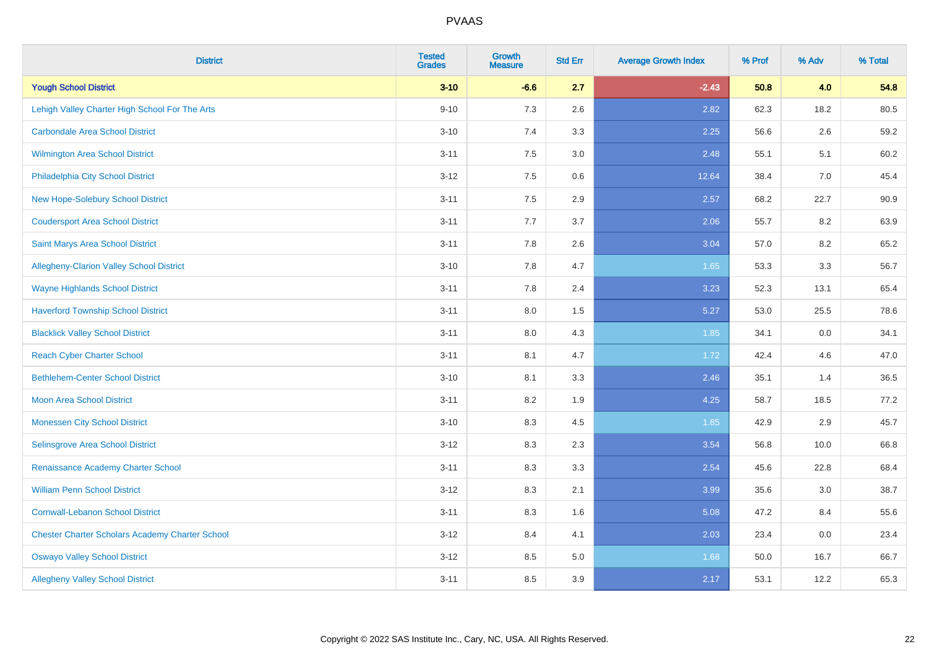| <b>District</b>                                        | <b>Tested</b><br><b>Grades</b> | Growth<br><b>Measure</b> | <b>Std Err</b> | <b>Average Growth Index</b> | % Prof | % Adv | % Total |
|--------------------------------------------------------|--------------------------------|--------------------------|----------------|-----------------------------|--------|-------|---------|
| <b>Yough School District</b>                           | $3 - 10$                       | $-6.6$                   | 2.7            | $-2.43$                     | 50.8   | 4.0   | 54.8    |
| Lehigh Valley Charter High School For The Arts         | $9 - 10$                       | 7.3                      | 2.6            | 2.82                        | 62.3   | 18.2  | 80.5    |
| <b>Carbondale Area School District</b>                 | $3 - 10$                       | 7.4                      | 3.3            | 2.25                        | 56.6   | 2.6   | 59.2    |
| Wilmington Area School District                        | $3 - 11$                       | 7.5                      | 3.0            | 2.48                        | 55.1   | 5.1   | 60.2    |
| Philadelphia City School District                      | $3 - 12$                       | 7.5                      | 0.6            | 12.64                       | 38.4   | 7.0   | 45.4    |
| New Hope-Solebury School District                      | $3 - 11$                       | 7.5                      | 2.9            | 2.57                        | 68.2   | 22.7  | 90.9    |
| <b>Coudersport Area School District</b>                | $3 - 11$                       | 7.7                      | 3.7            | 2.06                        | 55.7   | 8.2   | 63.9    |
| Saint Marys Area School District                       | $3 - 11$                       | 7.8                      | 2.6            | 3.04                        | 57.0   | 8.2   | 65.2    |
| Allegheny-Clarion Valley School District               | $3 - 10$                       | 7.8                      | 4.7            | 1.65                        | 53.3   | 3.3   | 56.7    |
| <b>Wayne Highlands School District</b>                 | $3 - 11$                       | 7.8                      | 2.4            | 3.23                        | 52.3   | 13.1  | 65.4    |
| <b>Haverford Township School District</b>              | $3 - 11$                       | 8.0                      | 1.5            | 5.27                        | 53.0   | 25.5  | 78.6    |
| <b>Blacklick Valley School District</b>                | $3 - 11$                       | 8.0                      | 4.3            | 1.85                        | 34.1   | 0.0   | 34.1    |
| <b>Reach Cyber Charter School</b>                      | $3 - 11$                       | 8.1                      | 4.7            | 1.72                        | 42.4   | 4.6   | 47.0    |
| <b>Bethlehem-Center School District</b>                | $3 - 10$                       | 8.1                      | 3.3            | 2.46                        | 35.1   | 1.4   | 36.5    |
| <b>Moon Area School District</b>                       | $3 - 11$                       | 8.2                      | 1.9            | 4.25                        | 58.7   | 18.5  | 77.2    |
| <b>Monessen City School District</b>                   | $3 - 10$                       | 8.3                      | 4.5            | 1.85                        | 42.9   | 2.9   | 45.7    |
| <b>Selinsgrove Area School District</b>                | $3 - 12$                       | 8.3                      | 2.3            | 3.54                        | 56.8   | 10.0  | 66.8    |
| Renaissance Academy Charter School                     | $3 - 11$                       | 8.3                      | 3.3            | 2.54                        | 45.6   | 22.8  | 68.4    |
| <b>William Penn School District</b>                    | $3 - 12$                       | 8.3                      | 2.1            | 3.99                        | 35.6   | 3.0   | 38.7    |
| <b>Cornwall-Lebanon School District</b>                | $3 - 11$                       | 8.3                      | 1.6            | 5.08                        | 47.2   | 8.4   | 55.6    |
| <b>Chester Charter Scholars Academy Charter School</b> | $3 - 12$                       | 8.4                      | 4.1            | 2.03                        | 23.4   | 0.0   | 23.4    |
| <b>Oswayo Valley School District</b>                   | $3 - 12$                       | 8.5                      | 5.0            | 1.68                        | 50.0   | 16.7  | 66.7    |
| <b>Allegheny Valley School District</b>                | $3 - 11$                       | 8.5                      | 3.9            | 2.17                        | 53.1   | 12.2  | 65.3    |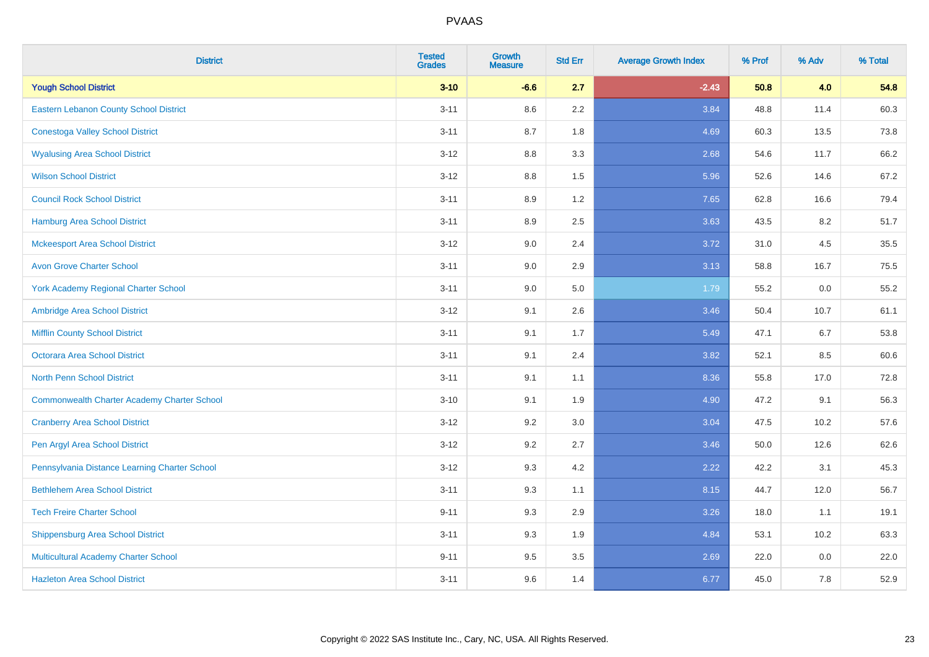| <b>District</b>                                    | <b>Tested</b><br><b>Grades</b> | <b>Growth</b><br><b>Measure</b> | <b>Std Err</b> | <b>Average Growth Index</b> | % Prof | % Adv | % Total |
|----------------------------------------------------|--------------------------------|---------------------------------|----------------|-----------------------------|--------|-------|---------|
| <b>Yough School District</b>                       | $3 - 10$                       | $-6.6$                          | 2.7            | $-2.43$                     | 50.8   | 4.0   | 54.8    |
| <b>Eastern Lebanon County School District</b>      | $3 - 11$                       | 8.6                             | 2.2            | 3.84                        | 48.8   | 11.4  | 60.3    |
| <b>Conestoga Valley School District</b>            | $3 - 11$                       | 8.7                             | 1.8            | 4.69                        | 60.3   | 13.5  | 73.8    |
| <b>Wyalusing Area School District</b>              | $3 - 12$                       | $8.8\,$                         | 3.3            | 2.68                        | 54.6   | 11.7  | 66.2    |
| <b>Wilson School District</b>                      | $3 - 12$                       | 8.8                             | 1.5            | 5.96                        | 52.6   | 14.6  | 67.2    |
| <b>Council Rock School District</b>                | $3 - 11$                       | 8.9                             | 1.2            | 7.65                        | 62.8   | 16.6  | 79.4    |
| <b>Hamburg Area School District</b>                | $3 - 11$                       | 8.9                             | 2.5            | 3.63                        | 43.5   | 8.2   | 51.7    |
| <b>Mckeesport Area School District</b>             | $3 - 12$                       | 9.0                             | 2.4            | 3.72                        | 31.0   | 4.5   | 35.5    |
| <b>Avon Grove Charter School</b>                   | $3 - 11$                       | 9.0                             | 2.9            | 3.13                        | 58.8   | 16.7  | 75.5    |
| <b>York Academy Regional Charter School</b>        | $3 - 11$                       | 9.0                             | 5.0            | 1.79                        | 55.2   | 0.0   | 55.2    |
| Ambridge Area School District                      | $3 - 12$                       | 9.1                             | 2.6            | 3.46                        | 50.4   | 10.7  | 61.1    |
| <b>Mifflin County School District</b>              | $3 - 11$                       | 9.1                             | 1.7            | 5.49                        | 47.1   | 6.7   | 53.8    |
| Octorara Area School District                      | $3 - 11$                       | 9.1                             | 2.4            | 3.82                        | 52.1   | 8.5   | 60.6    |
| <b>North Penn School District</b>                  | $3 - 11$                       | 9.1                             | 1.1            | 8.36                        | 55.8   | 17.0  | 72.8    |
| <b>Commonwealth Charter Academy Charter School</b> | $3 - 10$                       | 9.1                             | 1.9            | 4.90                        | 47.2   | 9.1   | 56.3    |
| <b>Cranberry Area School District</b>              | $3 - 12$                       | 9.2                             | 3.0            | 3.04                        | 47.5   | 10.2  | 57.6    |
| Pen Argyl Area School District                     | $3 - 12$                       | 9.2                             | 2.7            | 3.46                        | 50.0   | 12.6  | 62.6    |
| Pennsylvania Distance Learning Charter School      | $3 - 12$                       | 9.3                             | 4.2            | 2.22                        | 42.2   | 3.1   | 45.3    |
| <b>Bethlehem Area School District</b>              | $3 - 11$                       | 9.3                             | 1.1            | 8.15                        | 44.7   | 12.0  | 56.7    |
| <b>Tech Freire Charter School</b>                  | $9 - 11$                       | 9.3                             | 2.9            | 3.26                        | 18.0   | 1.1   | 19.1    |
| <b>Shippensburg Area School District</b>           | $3 - 11$                       | 9.3                             | 1.9            | 4.84                        | 53.1   | 10.2  | 63.3    |
| Multicultural Academy Charter School               | $9 - 11$                       | 9.5                             | 3.5            | 2.69                        | 22.0   | 0.0   | 22.0    |
| <b>Hazleton Area School District</b>               | $3 - 11$                       | 9.6                             | 1.4            | 6.77                        | 45.0   | 7.8   | 52.9    |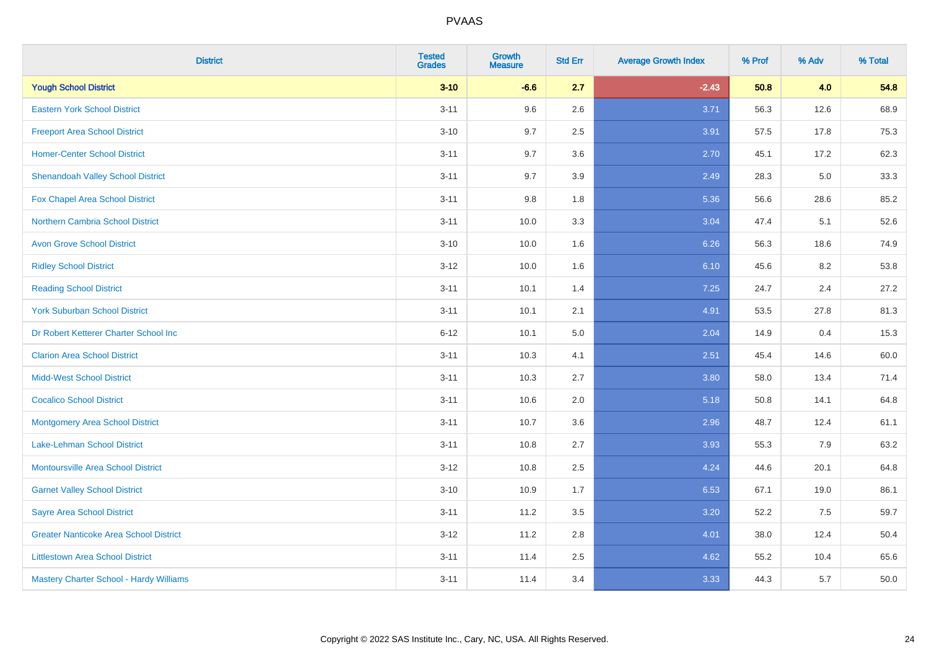| <b>District</b>                               | <b>Tested</b><br><b>Grades</b> | <b>Growth</b><br><b>Measure</b> | <b>Std Err</b> | <b>Average Growth Index</b> | % Prof | % Adv | % Total |
|-----------------------------------------------|--------------------------------|---------------------------------|----------------|-----------------------------|--------|-------|---------|
| <b>Yough School District</b>                  | $3 - 10$                       | $-6.6$                          | 2.7            | $-2.43$                     | 50.8   | 4.0   | 54.8    |
| <b>Eastern York School District</b>           | $3 - 11$                       | 9.6                             | 2.6            | 3.71                        | 56.3   | 12.6  | 68.9    |
| <b>Freeport Area School District</b>          | $3 - 10$                       | 9.7                             | 2.5            | 3.91                        | 57.5   | 17.8  | 75.3    |
| <b>Homer-Center School District</b>           | $3 - 11$                       | 9.7                             | 3.6            | 2.70                        | 45.1   | 17.2  | 62.3    |
| <b>Shenandoah Valley School District</b>      | $3 - 11$                       | 9.7                             | 3.9            | 2.49                        | 28.3   | 5.0   | 33.3    |
| Fox Chapel Area School District               | $3 - 11$                       | 9.8                             | 1.8            | 5.36                        | 56.6   | 28.6  | 85.2    |
| Northern Cambria School District              | $3 - 11$                       | 10.0                            | 3.3            | 3.04                        | 47.4   | 5.1   | 52.6    |
| <b>Avon Grove School District</b>             | $3 - 10$                       | 10.0                            | 1.6            | 6.26                        | 56.3   | 18.6  | 74.9    |
| <b>Ridley School District</b>                 | $3 - 12$                       | 10.0                            | 1.6            | 6.10                        | 45.6   | 8.2   | 53.8    |
| <b>Reading School District</b>                | $3 - 11$                       | 10.1                            | 1.4            | 7.25                        | 24.7   | 2.4   | 27.2    |
| <b>York Suburban School District</b>          | $3 - 11$                       | 10.1                            | 2.1            | 4.91                        | 53.5   | 27.8  | 81.3    |
| Dr Robert Ketterer Charter School Inc         | $6 - 12$                       | 10.1                            | 5.0            | 2.04                        | 14.9   | 0.4   | 15.3    |
| <b>Clarion Area School District</b>           | $3 - 11$                       | 10.3                            | 4.1            | 2.51                        | 45.4   | 14.6  | 60.0    |
| <b>Midd-West School District</b>              | $3 - 11$                       | 10.3                            | 2.7            | 3.80                        | 58.0   | 13.4  | 71.4    |
| <b>Cocalico School District</b>               | $3 - 11$                       | 10.6                            | 2.0            | 5.18                        | 50.8   | 14.1  | 64.8    |
| <b>Montgomery Area School District</b>        | $3 - 11$                       | 10.7                            | 3.6            | 2.96                        | 48.7   | 12.4  | 61.1    |
| Lake-Lehman School District                   | $3 - 11$                       | 10.8                            | 2.7            | 3.93                        | 55.3   | 7.9   | 63.2    |
| <b>Montoursville Area School District</b>     | $3 - 12$                       | 10.8                            | 2.5            | 4.24                        | 44.6   | 20.1  | 64.8    |
| <b>Garnet Valley School District</b>          | $3 - 10$                       | 10.9                            | 1.7            | 6.53                        | 67.1   | 19.0  | 86.1    |
| <b>Sayre Area School District</b>             | $3 - 11$                       | 11.2                            | 3.5            | 3.20                        | 52.2   | 7.5   | 59.7    |
| <b>Greater Nanticoke Area School District</b> | $3-12$                         | 11.2                            | 2.8            | 4.01                        | 38.0   | 12.4  | 50.4    |
| <b>Littlestown Area School District</b>       | $3 - 11$                       | 11.4                            | 2.5            | 4.62                        | 55.2   | 10.4  | 65.6    |
| Mastery Charter School - Hardy Williams       | $3 - 11$                       | 11.4                            | 3.4            | 3.33                        | 44.3   | 5.7   | 50.0    |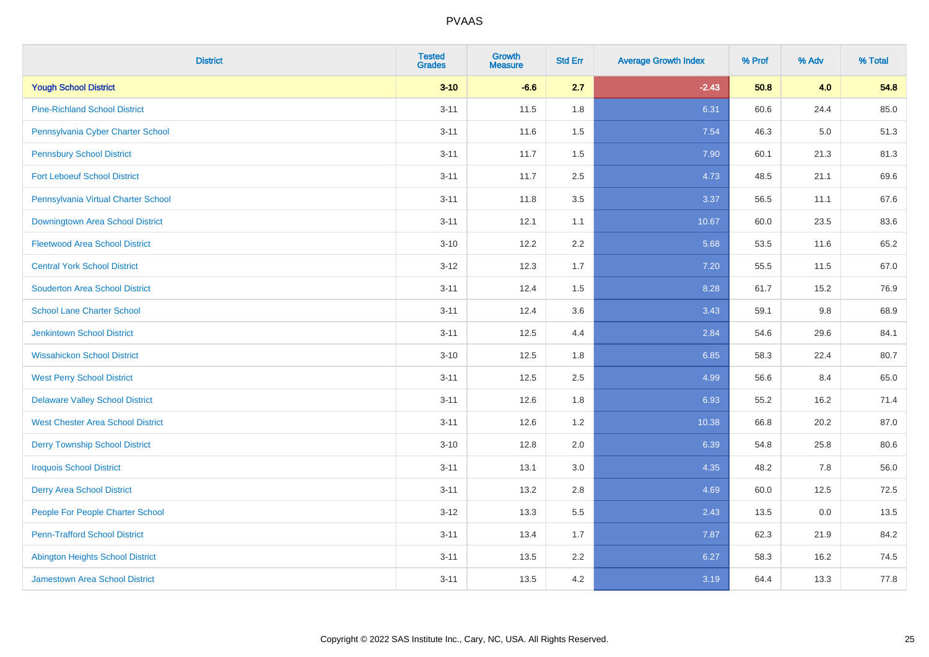| <b>District</b>                          | <b>Tested</b><br><b>Grades</b> | <b>Growth</b><br><b>Measure</b> | <b>Std Err</b> | <b>Average Growth Index</b> | % Prof | % Adv | % Total |
|------------------------------------------|--------------------------------|---------------------------------|----------------|-----------------------------|--------|-------|---------|
| <b>Yough School District</b>             | $3 - 10$                       | $-6.6$                          | 2.7            | $-2.43$                     | 50.8   | 4.0   | 54.8    |
| <b>Pine-Richland School District</b>     | $3 - 11$                       | 11.5                            | 1.8            | 6.31                        | 60.6   | 24.4  | 85.0    |
| Pennsylvania Cyber Charter School        | $3 - 11$                       | 11.6                            | 1.5            | 7.54                        | 46.3   | 5.0   | 51.3    |
| <b>Pennsbury School District</b>         | $3 - 11$                       | 11.7                            | 1.5            | 7.90                        | 60.1   | 21.3  | 81.3    |
| <b>Fort Leboeuf School District</b>      | $3 - 11$                       | 11.7                            | 2.5            | 4.73                        | 48.5   | 21.1  | 69.6    |
| Pennsylvania Virtual Charter School      | $3 - 11$                       | 11.8                            | 3.5            | 3.37                        | 56.5   | 11.1  | 67.6    |
| Downingtown Area School District         | $3 - 11$                       | 12.1                            | 1.1            | 10.67                       | 60.0   | 23.5  | 83.6    |
| <b>Fleetwood Area School District</b>    | $3 - 10$                       | 12.2                            | 2.2            | 5.68                        | 53.5   | 11.6  | 65.2    |
| <b>Central York School District</b>      | $3 - 12$                       | 12.3                            | 1.7            | 7.20                        | 55.5   | 11.5  | 67.0    |
| <b>Souderton Area School District</b>    | $3 - 11$                       | 12.4                            | 1.5            | 8.28                        | 61.7   | 15.2  | 76.9    |
| <b>School Lane Charter School</b>        | $3 - 11$                       | 12.4                            | 3.6            | 3.43                        | 59.1   | 9.8   | 68.9    |
| <b>Jenkintown School District</b>        | $3 - 11$                       | 12.5                            | 4.4            | 2.84                        | 54.6   | 29.6  | 84.1    |
| <b>Wissahickon School District</b>       | $3 - 10$                       | 12.5                            | 1.8            | 6.85                        | 58.3   | 22.4  | 80.7    |
| <b>West Perry School District</b>        | $3 - 11$                       | 12.5                            | 2.5            | 4.99                        | 56.6   | 8.4   | 65.0    |
| <b>Delaware Valley School District</b>   | $3 - 11$                       | 12.6                            | 1.8            | 6.93                        | 55.2   | 16.2  | 71.4    |
| <b>West Chester Area School District</b> | $3 - 11$                       | 12.6                            | 1.2            | 10.38                       | 66.8   | 20.2  | 87.0    |
| <b>Derry Township School District</b>    | $3 - 10$                       | 12.8                            | 2.0            | 6.39                        | 54.8   | 25.8  | 80.6    |
| <b>Iroquois School District</b>          | $3 - 11$                       | 13.1                            | 3.0            | 4.35                        | 48.2   | 7.8   | 56.0    |
| <b>Derry Area School District</b>        | $3 - 11$                       | 13.2                            | 2.8            | 4.69                        | 60.0   | 12.5  | 72.5    |
| People For People Charter School         | $3 - 12$                       | 13.3                            | 5.5            | 2.43                        | 13.5   | 0.0   | 13.5    |
| <b>Penn-Trafford School District</b>     | $3 - 11$                       | 13.4                            | 1.7            | 7.87                        | 62.3   | 21.9  | 84.2    |
| <b>Abington Heights School District</b>  | $3 - 11$                       | 13.5                            | 2.2            | 6.27                        | 58.3   | 16.2  | 74.5    |
| <b>Jamestown Area School District</b>    | $3 - 11$                       | 13.5                            | 4.2            | 3.19                        | 64.4   | 13.3  | 77.8    |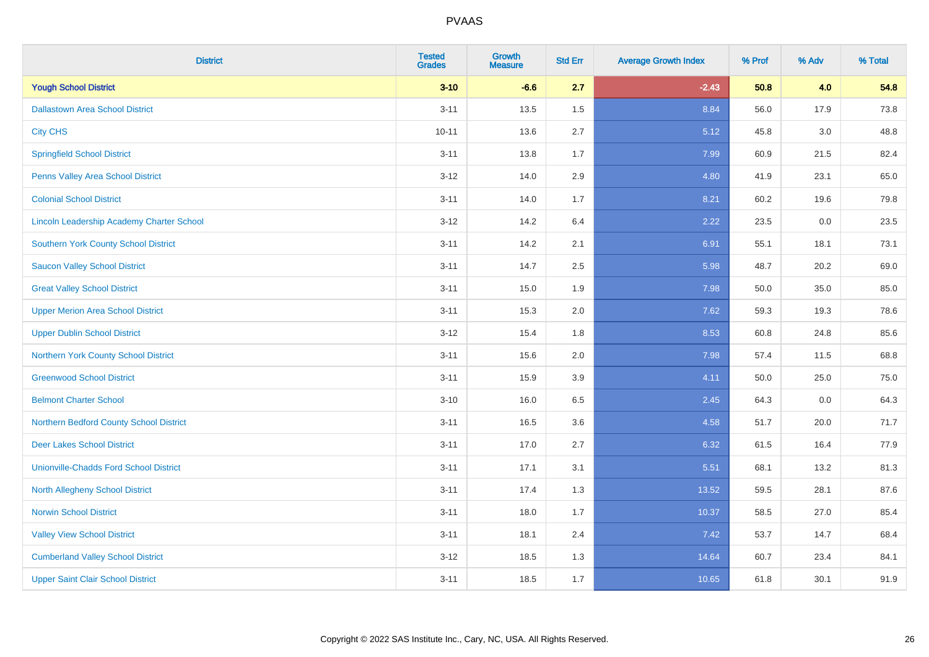| <b>District</b>                               | <b>Tested</b><br><b>Grades</b> | <b>Growth</b><br><b>Measure</b> | <b>Std Err</b> | <b>Average Growth Index</b> | % Prof | % Adv   | % Total |
|-----------------------------------------------|--------------------------------|---------------------------------|----------------|-----------------------------|--------|---------|---------|
| <b>Yough School District</b>                  | $3 - 10$                       | $-6.6$                          | 2.7            | $-2.43$                     | 50.8   | 4.0     | 54.8    |
| <b>Dallastown Area School District</b>        | $3 - 11$                       | 13.5                            | 1.5            | 8.84                        | 56.0   | 17.9    | 73.8    |
| <b>City CHS</b>                               | $10 - 11$                      | 13.6                            | 2.7            | 5.12                        | 45.8   | 3.0     | 48.8    |
| <b>Springfield School District</b>            | $3 - 11$                       | 13.8                            | 1.7            | 7.99                        | 60.9   | 21.5    | 82.4    |
| Penns Valley Area School District             | $3 - 12$                       | 14.0                            | 2.9            | 4.80                        | 41.9   | 23.1    | 65.0    |
| <b>Colonial School District</b>               | $3 - 11$                       | 14.0                            | 1.7            | 8.21                        | 60.2   | 19.6    | 79.8    |
| Lincoln Leadership Academy Charter School     | $3 - 12$                       | 14.2                            | 6.4            | 2.22                        | 23.5   | $0.0\,$ | 23.5    |
| <b>Southern York County School District</b>   | $3 - 11$                       | 14.2                            | 2.1            | 6.91                        | 55.1   | 18.1    | 73.1    |
| <b>Saucon Valley School District</b>          | $3 - 11$                       | 14.7                            | 2.5            | 5.98                        | 48.7   | 20.2    | 69.0    |
| <b>Great Valley School District</b>           | $3 - 11$                       | 15.0                            | 1.9            | 7.98                        | 50.0   | 35.0    | 85.0    |
| <b>Upper Merion Area School District</b>      | $3 - 11$                       | 15.3                            | 2.0            | 7.62                        | 59.3   | 19.3    | 78.6    |
| <b>Upper Dublin School District</b>           | $3 - 12$                       | 15.4                            | 1.8            | 8.53                        | 60.8   | 24.8    | 85.6    |
| Northern York County School District          | $3 - 11$                       | 15.6                            | 2.0            | 7.98                        | 57.4   | 11.5    | 68.8    |
| <b>Greenwood School District</b>              | $3 - 11$                       | 15.9                            | 3.9            | 4.11                        | 50.0   | 25.0    | 75.0    |
| <b>Belmont Charter School</b>                 | $3 - 10$                       | 16.0                            | 6.5            | 2.45                        | 64.3   | 0.0     | 64.3    |
| Northern Bedford County School District       | $3 - 11$                       | 16.5                            | 3.6            | 4.58                        | 51.7   | 20.0    | 71.7    |
| <b>Deer Lakes School District</b>             | $3 - 11$                       | 17.0                            | 2.7            | 6.32                        | 61.5   | 16.4    | 77.9    |
| <b>Unionville-Chadds Ford School District</b> | $3 - 11$                       | 17.1                            | 3.1            | 5.51                        | 68.1   | 13.2    | 81.3    |
| <b>North Allegheny School District</b>        | $3 - 11$                       | 17.4                            | 1.3            | 13.52                       | 59.5   | 28.1    | 87.6    |
| <b>Norwin School District</b>                 | $3 - 11$                       | 18.0                            | 1.7            | 10.37                       | 58.5   | 27.0    | 85.4    |
| <b>Valley View School District</b>            | $3 - 11$                       | 18.1                            | 2.4            | 7.42                        | 53.7   | 14.7    | 68.4    |
| <b>Cumberland Valley School District</b>      | $3 - 12$                       | 18.5                            | 1.3            | 14.64                       | 60.7   | 23.4    | 84.1    |
| <b>Upper Saint Clair School District</b>      | $3 - 11$                       | 18.5                            | 1.7            | 10.65                       | 61.8   | 30.1    | 91.9    |